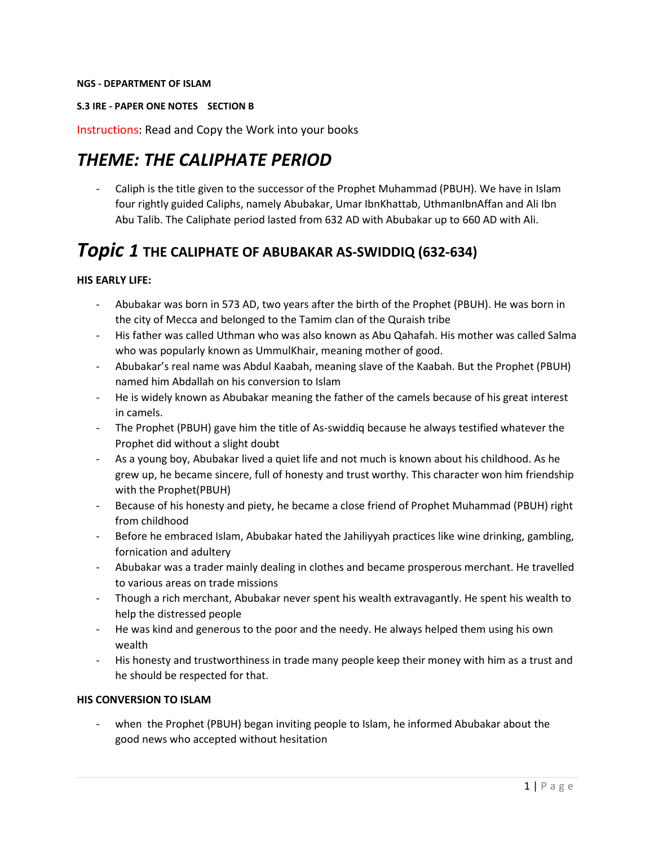#### **NGS - DEPARTMENT OF ISLAM**

#### **S.3 IRE - PAPER ONE NOTES SECTION B**

Instructions: Read and Copy the Work into your books

# *THEME: THE CALIPHATE PERIOD*

Caliph is the title given to the successor of the Prophet Muhammad (PBUH). We have in Islam four rightly guided Caliphs, namely Abubakar, Umar IbnKhattab, UthmanIbnAffan and Ali Ibn Abu Talib. The Caliphate period lasted from 632 AD with Abubakar up to 660 AD with Ali.

# *Topic 1* **THE CALIPHATE OF ABUBAKAR AS-SWIDDIQ (632-634)**

#### **HIS EARLY LIFE:**

- Abubakar was born in 573 AD, two years after the birth of the Prophet (PBUH). He was born in the city of Mecca and belonged to the Tamim clan of the Quraish tribe
- His father was called Uthman who was also known as Abu Qahafah. His mother was called Salma who was popularly known as UmmulKhair, meaning mother of good.
- Abubakar's real name was Abdul Kaabah, meaning slave of the Kaabah. But the Prophet (PBUH) named him Abdallah on his conversion to Islam
- He is widely known as Abubakar meaning the father of the camels because of his great interest in camels.
- The Prophet (PBUH) gave him the title of As-swiddiq because he always testified whatever the Prophet did without a slight doubt
- As a young boy, Abubakar lived a quiet life and not much is known about his childhood. As he grew up, he became sincere, full of honesty and trust worthy. This character won him friendship with the Prophet(PBUH)
- Because of his honesty and piety, he became a close friend of Prophet Muhammad (PBUH) right from childhood
- Before he embraced Islam, Abubakar hated the Jahiliyyah practices like wine drinking, gambling, fornication and adultery
- Abubakar was a trader mainly dealing in clothes and became prosperous merchant. He travelled to various areas on trade missions
- Though a rich merchant, Abubakar never spent his wealth extravagantly. He spent his wealth to help the distressed people
- He was kind and generous to the poor and the needy. He always helped them using his own wealth
- His honesty and trustworthiness in trade many people keep their money with him as a trust and he should be respected for that.

#### **HIS CONVERSION TO ISLAM**

when the Prophet (PBUH) began inviting people to Islam, he informed Abubakar about the good news who accepted without hesitation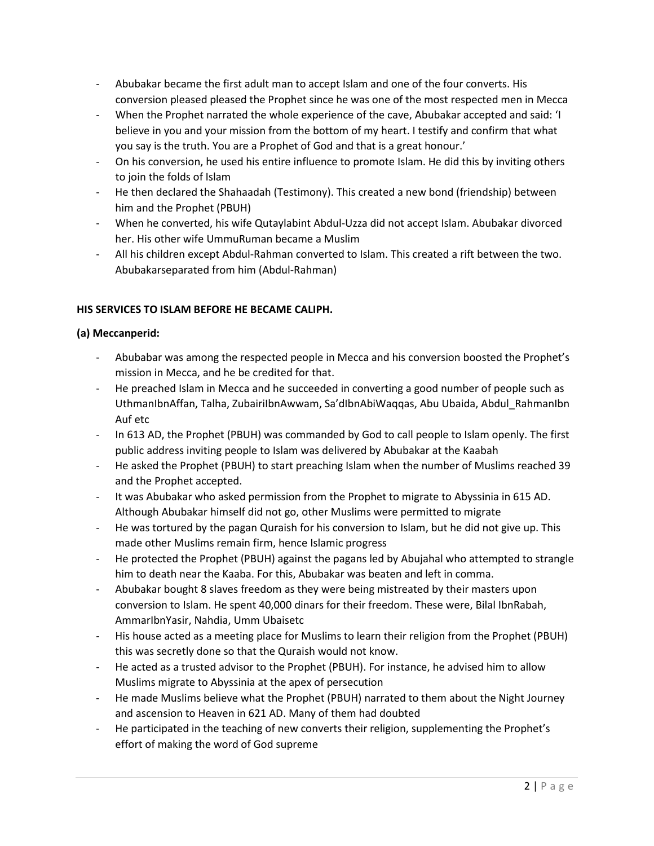- Abubakar became the first adult man to accept Islam and one of the four converts. His conversion pleased pleased the Prophet since he was one of the most respected men in Mecca
- When the Prophet narrated the whole experience of the cave, Abubakar accepted and said: 'I believe in you and your mission from the bottom of my heart. I testify and confirm that what you say is the truth. You are a Prophet of God and that is a great honour.'
- On his conversion, he used his entire influence to promote Islam. He did this by inviting others to join the folds of Islam
- He then declared the Shahaadah (Testimony). This created a new bond (friendship) between him and the Prophet (PBUH)
- When he converted, his wife Qutaylabint Abdul-Uzza did not accept Islam. Abubakar divorced her. His other wife UmmuRuman became a Muslim
- All his children except Abdul-Rahman converted to Islam. This created a rift between the two. Abubakarseparated from him (Abdul-Rahman)

# **HIS SERVICES TO ISLAM BEFORE HE BECAME CALIPH.**

# **(a) Meccanperid:**

- Abubabar was among the respected people in Mecca and his conversion boosted the Prophet's mission in Mecca, and he be credited for that.
- He preached Islam in Mecca and he succeeded in converting a good number of people such as UthmanIbnAffan, Talha, ZubairiIbnAwwam, Sa'dIbnAbiWaqqas, Abu Ubaida, Abdul\_RahmanIbn Auf etc
- In 613 AD, the Prophet (PBUH) was commanded by God to call people to Islam openly. The first public address inviting people to Islam was delivered by Abubakar at the Kaabah
- He asked the Prophet (PBUH) to start preaching Islam when the number of Muslims reached 39 and the Prophet accepted.
- It was Abubakar who asked permission from the Prophet to migrate to Abyssinia in 615 AD. Although Abubakar himself did not go, other Muslims were permitted to migrate
- He was tortured by the pagan Quraish for his conversion to Islam, but he did not give up. This made other Muslims remain firm, hence Islamic progress
- He protected the Prophet (PBUH) against the pagans led by Abujahal who attempted to strangle him to death near the Kaaba. For this, Abubakar was beaten and left in comma.
- Abubakar bought 8 slaves freedom as they were being mistreated by their masters upon conversion to Islam. He spent 40,000 dinars for their freedom. These were, Bilal IbnRabah, AmmarIbnYasir, Nahdia, Umm Ubaisetc
- His house acted as a meeting place for Muslims to learn their religion from the Prophet (PBUH) this was secretly done so that the Quraish would not know.
- He acted as a trusted advisor to the Prophet (PBUH). For instance, he advised him to allow Muslims migrate to Abyssinia at the apex of persecution
- He made Muslims believe what the Prophet (PBUH) narrated to them about the Night Journey and ascension to Heaven in 621 AD. Many of them had doubted
- He participated in the teaching of new converts their religion, supplementing the Prophet's effort of making the word of God supreme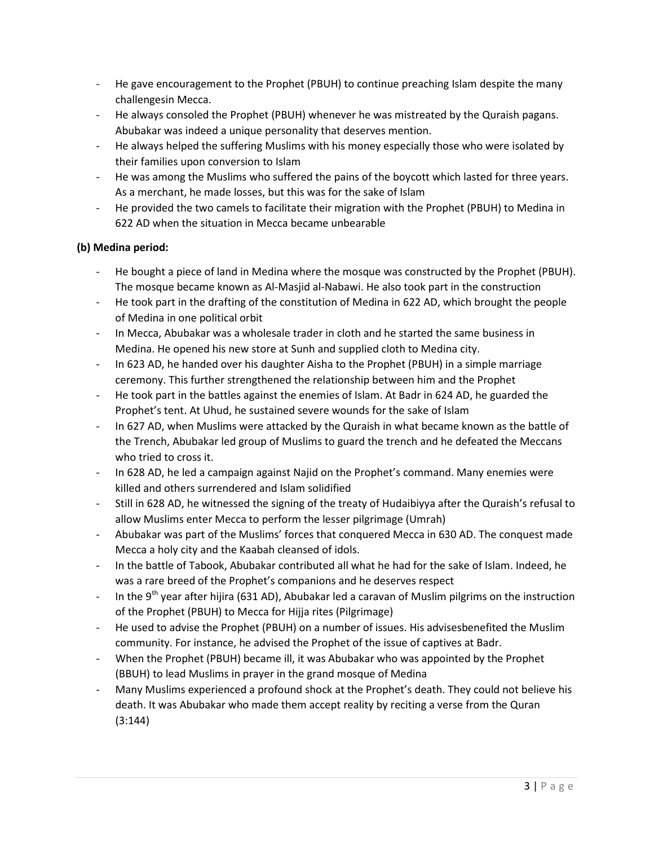- He gave encouragement to the Prophet (PBUH) to continue preaching Islam despite the many challengesin Mecca.
- He always consoled the Prophet (PBUH) whenever he was mistreated by the Quraish pagans. Abubakar was indeed a unique personality that deserves mention.
- He always helped the suffering Muslims with his money especially those who were isolated by their families upon conversion to Islam
- He was among the Muslims who suffered the pains of the boycott which lasted for three years. As a merchant, he made losses, but this was for the sake of Islam
- He provided the two camels to facilitate their migration with the Prophet (PBUH) to Medina in 622 AD when the situation in Mecca became unbearable

# **(b) Medina period:**

- He bought a piece of land in Medina where the mosque was constructed by the Prophet (PBUH). The mosque became known as Al-Masjid al-Nabawi. He also took part in the construction
- He took part in the drafting of the constitution of Medina in 622 AD, which brought the people of Medina in one political orbit
- In Mecca, Abubakar was a wholesale trader in cloth and he started the same business in Medina. He opened his new store at Sunh and supplied cloth to Medina city.
- In 623 AD, he handed over his daughter Aisha to the Prophet (PBUH) in a simple marriage ceremony. This further strengthened the relationship between him and the Prophet
- He took part in the battles against the enemies of Islam. At Badr in 624 AD, he guarded the Prophet's tent. At Uhud, he sustained severe wounds for the sake of Islam
- In 627 AD, when Muslims were attacked by the Quraish in what became known as the battle of the Trench, Abubakar led group of Muslims to guard the trench and he defeated the Meccans who tried to cross it.
- In 628 AD, he led a campaign against Najid on the Prophet's command. Many enemies were killed and others surrendered and Islam solidified
- Still in 628 AD, he witnessed the signing of the treaty of Hudaibiyya after the Quraish's refusal to allow Muslims enter Mecca to perform the lesser pilgrimage (Umrah)
- Abubakar was part of the Muslims' forces that conquered Mecca in 630 AD. The conquest made Mecca a holy city and the Kaabah cleansed of idols.
- In the battle of Tabook, Abubakar contributed all what he had for the sake of Islam. Indeed, he was a rare breed of the Prophet's companions and he deserves respect
- In the 9<sup>th</sup> year after hijira (631 AD), Abubakar led a caravan of Muslim pilgrims on the instruction of the Prophet (PBUH) to Mecca for Hijja rites (Pilgrimage)
- He used to advise the Prophet (PBUH) on a number of issues. His advisesbenefited the Muslim community. For instance, he advised the Prophet of the issue of captives at Badr.
- When the Prophet (PBUH) became ill, it was Abubakar who was appointed by the Prophet (BBUH) to lead Muslims in prayer in the grand mosque of Medina
- Many Muslims experienced a profound shock at the Prophet's death. They could not believe his death. It was Abubakar who made them accept reality by reciting a verse from the Quran (3:144)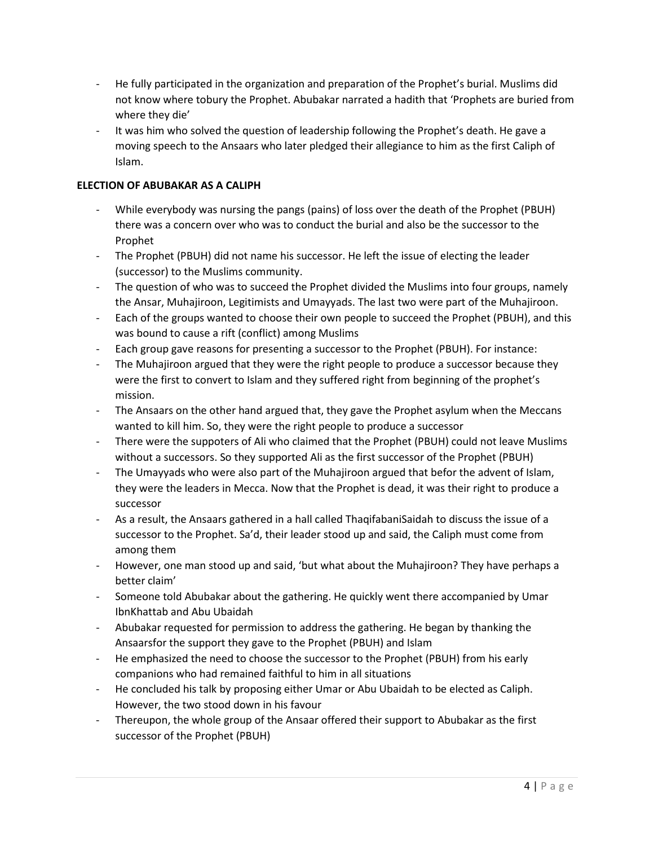- He fully participated in the organization and preparation of the Prophet's burial. Muslims did not know where tobury the Prophet. Abubakar narrated a hadith that 'Prophets are buried from where they die'
- It was him who solved the question of leadership following the Prophet's death. He gave a moving speech to the Ansaars who later pledged their allegiance to him as the first Caliph of Islam.

#### **ELECTION OF ABUBAKAR AS A CALIPH**

- While everybody was nursing the pangs (pains) of loss over the death of the Prophet (PBUH) there was a concern over who was to conduct the burial and also be the successor to the Prophet
- The Prophet (PBUH) did not name his successor. He left the issue of electing the leader (successor) to the Muslims community.
- The question of who was to succeed the Prophet divided the Muslims into four groups, namely the Ansar, Muhajiroon, Legitimists and Umayyads. The last two were part of the Muhajiroon.
- Each of the groups wanted to choose their own people to succeed the Prophet (PBUH), and this was bound to cause a rift (conflict) among Muslims
- Each group gave reasons for presenting a successor to the Prophet (PBUH). For instance:
- The Muhajiroon argued that they were the right people to produce a successor because they were the first to convert to Islam and they suffered right from beginning of the prophet's mission.
- The Ansaars on the other hand argued that, they gave the Prophet asylum when the Meccans wanted to kill him. So, they were the right people to produce a successor
- There were the suppoters of Ali who claimed that the Prophet (PBUH) could not leave Muslims without a successors. So they supported Ali as the first successor of the Prophet (PBUH)
- The Umayyads who were also part of the Muhajiroon argued that befor the advent of Islam, they were the leaders in Mecca. Now that the Prophet is dead, it was their right to produce a successor
- As a result, the Ansaars gathered in a hall called ThaqifabaniSaidah to discuss the issue of a successor to the Prophet. Sa'd, their leader stood up and said, the Caliph must come from among them
- However, one man stood up and said, 'but what about the Muhajiroon? They have perhaps a better claim'
- Someone told Abubakar about the gathering. He quickly went there accompanied by Umar IbnKhattab and Abu Ubaidah
- Abubakar requested for permission to address the gathering. He began by thanking the Ansaarsfor the support they gave to the Prophet (PBUH) and Islam
- He emphasized the need to choose the successor to the Prophet (PBUH) from his early companions who had remained faithful to him in all situations
- He concluded his talk by proposing either Umar or Abu Ubaidah to be elected as Caliph. However, the two stood down in his favour
- Thereupon, the whole group of the Ansaar offered their support to Abubakar as the first successor of the Prophet (PBUH)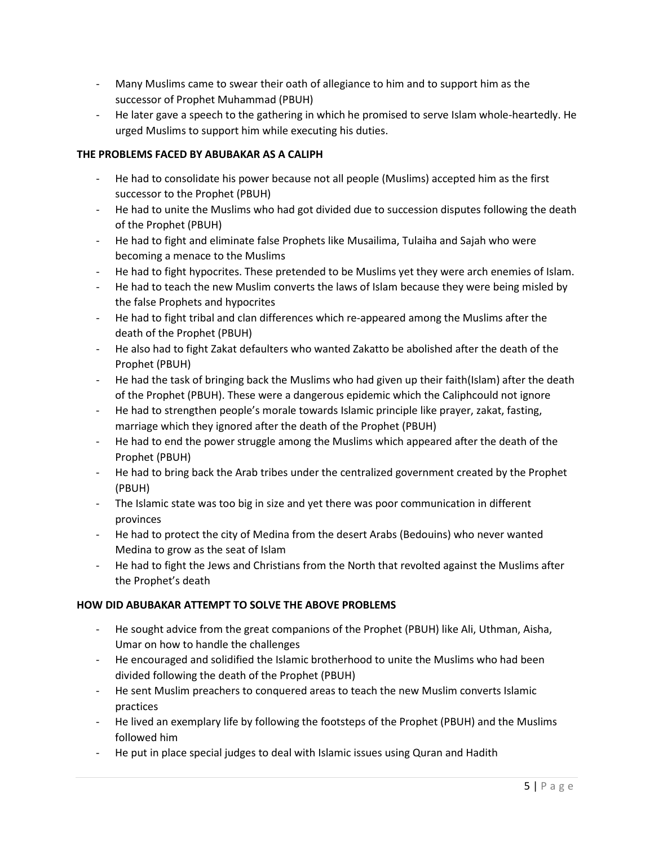- Many Muslims came to swear their oath of allegiance to him and to support him as the successor of Prophet Muhammad (PBUH)
- He later gave a speech to the gathering in which he promised to serve Islam whole-heartedly. He urged Muslims to support him while executing his duties.

#### **THE PROBLEMS FACED BY ABUBAKAR AS A CALIPH**

- He had to consolidate his power because not all people (Muslims) accepted him as the first successor to the Prophet (PBUH)
- He had to unite the Muslims who had got divided due to succession disputes following the death of the Prophet (PBUH)
- He had to fight and eliminate false Prophets like Musailima, Tulaiha and Sajah who were becoming a menace to the Muslims
- He had to fight hypocrites. These pretended to be Muslims yet they were arch enemies of Islam.
- He had to teach the new Muslim converts the laws of Islam because they were being misled by the false Prophets and hypocrites
- He had to fight tribal and clan differences which re-appeared among the Muslims after the death of the Prophet (PBUH)
- He also had to fight Zakat defaulters who wanted Zakatto be abolished after the death of the Prophet (PBUH)
- He had the task of bringing back the Muslims who had given up their faith(Islam) after the death of the Prophet (PBUH). These were a dangerous epidemic which the Caliphcould not ignore
- He had to strengthen people's morale towards Islamic principle like prayer, zakat, fasting, marriage which they ignored after the death of the Prophet (PBUH)
- He had to end the power struggle among the Muslims which appeared after the death of the Prophet (PBUH)
- He had to bring back the Arab tribes under the centralized government created by the Prophet (PBUH)
- The Islamic state was too big in size and yet there was poor communication in different provinces
- He had to protect the city of Medina from the desert Arabs (Bedouins) who never wanted Medina to grow as the seat of Islam
- He had to fight the Jews and Christians from the North that revolted against the Muslims after the Prophet's death

#### **HOW DID ABUBAKAR ATTEMPT TO SOLVE THE ABOVE PROBLEMS**

- He sought advice from the great companions of the Prophet (PBUH) like Ali, Uthman, Aisha, Umar on how to handle the challenges
- He encouraged and solidified the Islamic brotherhood to unite the Muslims who had been divided following the death of the Prophet (PBUH)
- He sent Muslim preachers to conquered areas to teach the new Muslim converts Islamic practices
- He lived an exemplary life by following the footsteps of the Prophet (PBUH) and the Muslims followed him
- He put in place special judges to deal with Islamic issues using Quran and Hadith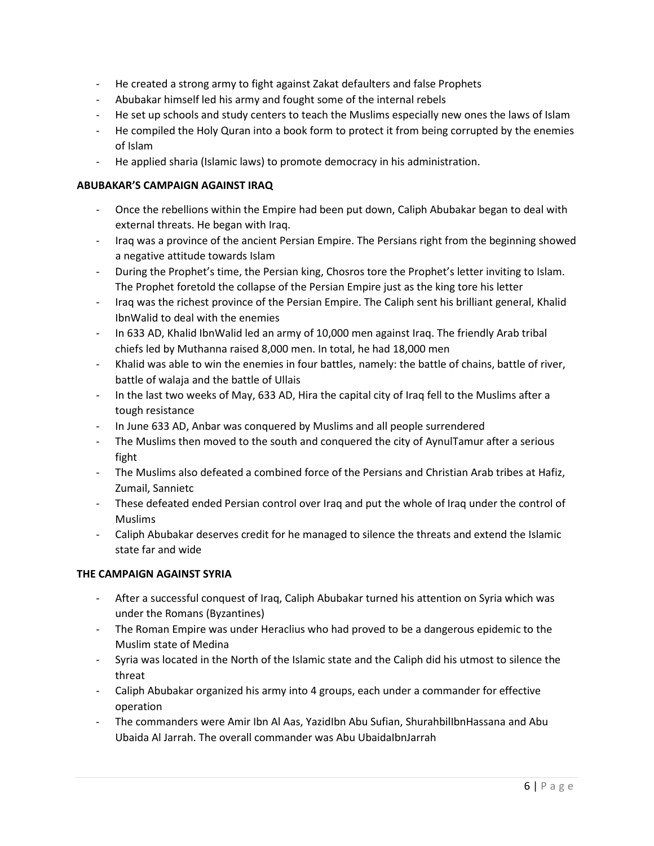- He created a strong army to fight against Zakat defaulters and false Prophets
- Abubakar himself led his army and fought some of the internal rebels
- He set up schools and study centers to teach the Muslims especially new ones the laws of Islam
- He compiled the Holy Quran into a book form to protect it from being corrupted by the enemies of Islam
- He applied sharia (Islamic laws) to promote democracy in his administration.

#### **ABUBAKAR'S CAMPAIGN AGAINST IRAQ**

- Once the rebellions within the Empire had been put down, Caliph Abubakar began to deal with external threats. He began with Iraq.
- Iraq was a province of the ancient Persian Empire. The Persians right from the beginning showed a negative attitude towards Islam
- During the Prophet's time, the Persian king, Chosros tore the Prophet's letter inviting to Islam. The Prophet foretold the collapse of the Persian Empire just as the king tore his letter
- Iraq was the richest province of the Persian Empire. The Caliph sent his brilliant general, Khalid IbnWalid to deal with the enemies
- In 633 AD, Khalid IbnWalid led an army of 10,000 men against Iraq. The friendly Arab tribal chiefs led by Muthanna raised 8,000 men. In total, he had 18,000 men
- Khalid was able to win the enemies in four battles, namely: the battle of chains, battle of river, battle of walaja and the battle of Ullais
- In the last two weeks of May, 633 AD, Hira the capital city of Iraq fell to the Muslims after a tough resistance
- In June 633 AD, Anbar was conquered by Muslims and all people surrendered
- The Muslims then moved to the south and conquered the city of AynulTamur after a serious fight
- The Muslims also defeated a combined force of the Persians and Christian Arab tribes at Hafiz, Zumail, Sannietc
- These defeated ended Persian control over Iraq and put the whole of Iraq under the control of Muslims
- Caliph Abubakar deserves credit for he managed to silence the threats and extend the Islamic state far and wide

# **THE CAMPAIGN AGAINST SYRIA**

- After a successful conquest of Iraq, Caliph Abubakar turned his attention on Syria which was under the Romans (Byzantines)
- The Roman Empire was under Heraclius who had proved to be a dangerous epidemic to the Muslim state of Medina
- Syria was located in the North of the Islamic state and the Caliph did his utmost to silence the threat
- Caliph Abubakar organized his army into 4 groups, each under a commander for effective operation
- The commanders were Amir Ibn Al Aas, YazidIbn Abu Sufian, ShurahbilIbnHassana and Abu Ubaida Al Jarrah. The overall commander was Abu UbaidaIbnJarrah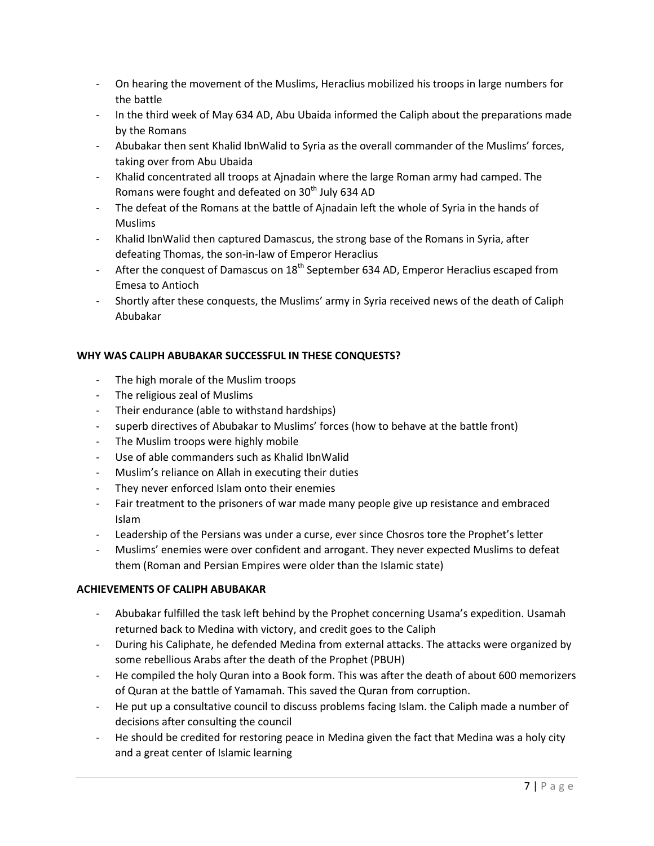- On hearing the movement of the Muslims, Heraclius mobilized his troops in large numbers for the battle
- In the third week of May 634 AD, Abu Ubaida informed the Caliph about the preparations made by the Romans
- Abubakar then sent Khalid IbnWalid to Syria as the overall commander of the Muslims' forces, taking over from Abu Ubaida
- Khalid concentrated all troops at Ajnadain where the large Roman army had camped. The Romans were fought and defeated on  $30<sup>th</sup>$  July 634 AD
- The defeat of the Romans at the battle of Ajnadain left the whole of Syria in the hands of Muslims
- Khalid IbnWalid then captured Damascus, the strong base of the Romans in Syria, after defeating Thomas, the son-in-law of Emperor Heraclius
- After the conquest of Damascus on  $18<sup>th</sup>$  September 634 AD, Emperor Heraclius escaped from Emesa to Antioch
- Shortly after these conquests, the Muslims' army in Syria received news of the death of Caliph Abubakar

#### **WHY WAS CALIPH ABUBAKAR SUCCESSFUL IN THESE CONQUESTS?**

- The high morale of the Muslim troops
- The religious zeal of Muslims
- Their endurance (able to withstand hardships)
- superb directives of Abubakar to Muslims' forces (how to behave at the battle front)
- The Muslim troops were highly mobile
- Use of able commanders such as Khalid IbnWalid
- Muslim's reliance on Allah in executing their duties
- They never enforced Islam onto their enemies
- Fair treatment to the prisoners of war made many people give up resistance and embraced Islam
- Leadership of the Persians was under a curse, ever since Chosros tore the Prophet's letter
- Muslims' enemies were over confident and arrogant. They never expected Muslims to defeat them (Roman and Persian Empires were older than the Islamic state)

#### **ACHIEVEMENTS OF CALIPH ABUBAKAR**

- Abubakar fulfilled the task left behind by the Prophet concerning Usama's expedition. Usamah returned back to Medina with victory, and credit goes to the Caliph
- During his Caliphate, he defended Medina from external attacks. The attacks were organized by some rebellious Arabs after the death of the Prophet (PBUH)
- He compiled the holy Quran into a Book form. This was after the death of about 600 memorizers of Quran at the battle of Yamamah. This saved the Quran from corruption.
- He put up a consultative council to discuss problems facing Islam. the Caliph made a number of decisions after consulting the council
- He should be credited for restoring peace in Medina given the fact that Medina was a holy city and a great center of Islamic learning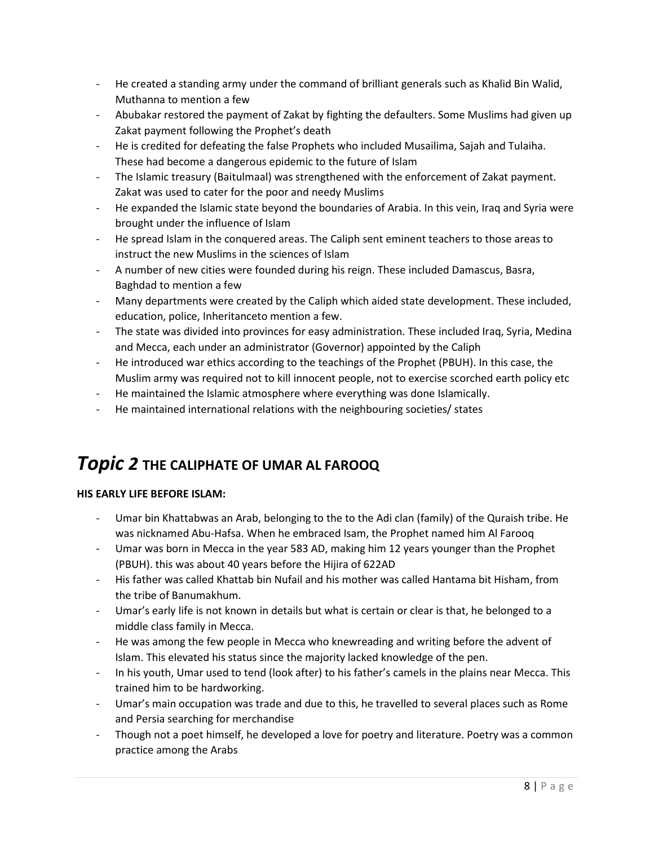- He created a standing army under the command of brilliant generals such as Khalid Bin Walid, Muthanna to mention a few
- Abubakar restored the payment of Zakat by fighting the defaulters. Some Muslims had given up Zakat payment following the Prophet's death
- He is credited for defeating the false Prophets who included Musailima, Sajah and Tulaiha. These had become a dangerous epidemic to the future of Islam
- The Islamic treasury (Baitulmaal) was strengthened with the enforcement of Zakat payment. Zakat was used to cater for the poor and needy Muslims
- He expanded the Islamic state beyond the boundaries of Arabia. In this vein, Iraq and Syria were brought under the influence of Islam
- He spread Islam in the conquered areas. The Caliph sent eminent teachers to those areas to instruct the new Muslims in the sciences of Islam
- A number of new cities were founded during his reign. These included Damascus, Basra, Baghdad to mention a few
- Many departments were created by the Caliph which aided state development. These included, education, police, Inheritanceto mention a few.
- The state was divided into provinces for easy administration. These included Iraq, Syria, Medina and Mecca, each under an administrator (Governor) appointed by the Caliph
- He introduced war ethics according to the teachings of the Prophet (PBUH). In this case, the Muslim army was required not to kill innocent people, not to exercise scorched earth policy etc
- He maintained the Islamic atmosphere where everything was done Islamically.
- He maintained international relations with the neighbouring societies/ states

# *Topic 2* **THE CALIPHATE OF UMAR AL FAROOQ**

# **HIS EARLY LIFE BEFORE ISLAM:**

- Umar bin Khattabwas an Arab, belonging to the to the Adi clan (family) of the Quraish tribe. He was nicknamed Abu-Hafsa. When he embraced Isam, the Prophet named him Al Farooq
- Umar was born in Mecca in the year 583 AD, making him 12 years younger than the Prophet (PBUH). this was about 40 years before the Hijira of 622AD
- His father was called Khattab bin Nufail and his mother was called Hantama bit Hisham, from the tribe of Banumakhum.
- Umar's early life is not known in details but what is certain or clear is that, he belonged to a middle class family in Mecca.
- He was among the few people in Mecca who knewreading and writing before the advent of Islam. This elevated his status since the majority lacked knowledge of the pen.
- In his youth, Umar used to tend (look after) to his father's camels in the plains near Mecca. This trained him to be hardworking.
- Umar's main occupation was trade and due to this, he travelled to several places such as Rome and Persia searching for merchandise
- Though not a poet himself, he developed a love for poetry and literature. Poetry was a common practice among the Arabs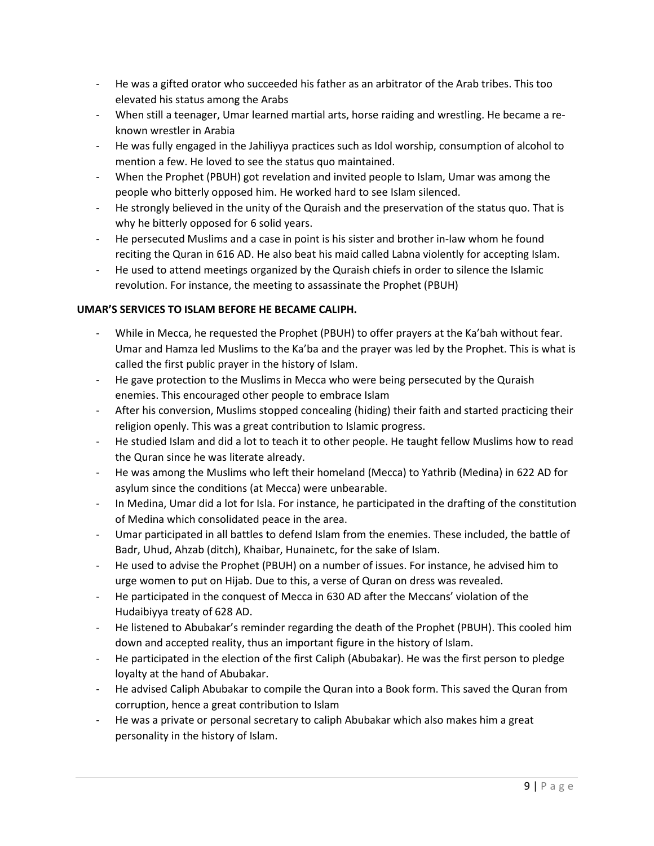- He was a gifted orator who succeeded his father as an arbitrator of the Arab tribes. This too elevated his status among the Arabs
- When still a teenager, Umar learned martial arts, horse raiding and wrestling. He became a reknown wrestler in Arabia
- He was fully engaged in the Jahiliyya practices such as Idol worship, consumption of alcohol to mention a few. He loved to see the status quo maintained.
- When the Prophet (PBUH) got revelation and invited people to Islam, Umar was among the people who bitterly opposed him. He worked hard to see Islam silenced.
- He strongly believed in the unity of the Quraish and the preservation of the status quo. That is why he bitterly opposed for 6 solid years.
- He persecuted Muslims and a case in point is his sister and brother in-law whom he found reciting the Quran in 616 AD. He also beat his maid called Labna violently for accepting Islam.
- He used to attend meetings organized by the Quraish chiefs in order to silence the Islamic revolution. For instance, the meeting to assassinate the Prophet (PBUH)

# **UMAR'S SERVICES TO ISLAM BEFORE HE BECAME CALIPH.**

- While in Mecca, he requested the Prophet (PBUH) to offer prayers at the Ka'bah without fear. Umar and Hamza led Muslims to the Ka'ba and the prayer was led by the Prophet. This is what is called the first public prayer in the history of Islam.
- He gave protection to the Muslims in Mecca who were being persecuted by the Quraish enemies. This encouraged other people to embrace Islam
- After his conversion, Muslims stopped concealing (hiding) their faith and started practicing their religion openly. This was a great contribution to Islamic progress.
- He studied Islam and did a lot to teach it to other people. He taught fellow Muslims how to read the Quran since he was literate already.
- He was among the Muslims who left their homeland (Mecca) to Yathrib (Medina) in 622 AD for asylum since the conditions (at Mecca) were unbearable.
- In Medina, Umar did a lot for Isla. For instance, he participated in the drafting of the constitution of Medina which consolidated peace in the area.
- Umar participated in all battles to defend Islam from the enemies. These included, the battle of Badr, Uhud, Ahzab (ditch), Khaibar, Hunainetc, for the sake of Islam.
- He used to advise the Prophet (PBUH) on a number of issues. For instance, he advised him to urge women to put on Hijab. Due to this, a verse of Quran on dress was revealed.
- He participated in the conquest of Mecca in 630 AD after the Meccans' violation of the Hudaibiyya treaty of 628 AD.
- He listened to Abubakar's reminder regarding the death of the Prophet (PBUH). This cooled him down and accepted reality, thus an important figure in the history of Islam.
- He participated in the election of the first Caliph (Abubakar). He was the first person to pledge loyalty at the hand of Abubakar.
- He advised Caliph Abubakar to compile the Quran into a Book form. This saved the Quran from corruption, hence a great contribution to Islam
- He was a private or personal secretary to caliph Abubakar which also makes him a great personality in the history of Islam.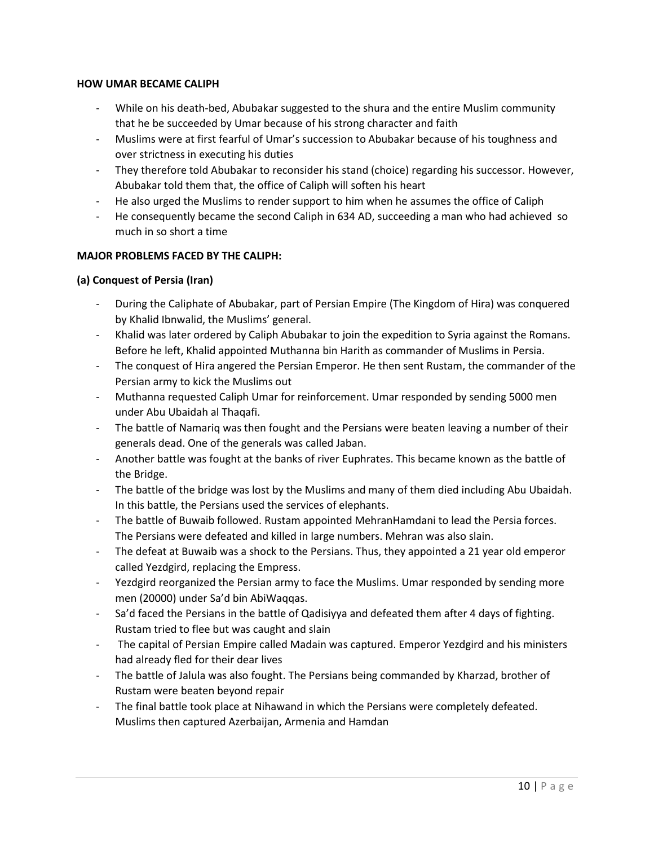#### **HOW UMAR BECAME CALIPH**

- While on his death-bed, Abubakar suggested to the shura and the entire Muslim community that he be succeeded by Umar because of his strong character and faith
- Muslims were at first fearful of Umar's succession to Abubakar because of his toughness and over strictness in executing his duties
- They therefore told Abubakar to reconsider his stand (choice) regarding his successor. However, Abubakar told them that, the office of Caliph will soften his heart
- He also urged the Muslims to render support to him when he assumes the office of Caliph
- He consequently became the second Caliph in 634 AD, succeeding a man who had achieved so much in so short a time

# **MAJOR PROBLEMS FACED BY THE CALIPH:**

#### **(a) Conquest of Persia (Iran)**

- During the Caliphate of Abubakar, part of Persian Empire (The Kingdom of Hira) was conquered by Khalid Ibnwalid, the Muslims' general.
- Khalid was later ordered by Caliph Abubakar to join the expedition to Syria against the Romans. Before he left, Khalid appointed Muthanna bin Harith as commander of Muslims in Persia.
- The conquest of Hira angered the Persian Emperor. He then sent Rustam, the commander of the Persian army to kick the Muslims out
- Muthanna requested Caliph Umar for reinforcement. Umar responded by sending 5000 men under Abu Ubaidah al Thaqafi.
- The battle of Namariq was then fought and the Persians were beaten leaving a number of their generals dead. One of the generals was called Jaban.
- Another battle was fought at the banks of river Euphrates. This became known as the battle of the Bridge.
- The battle of the bridge was lost by the Muslims and many of them died including Abu Ubaidah. In this battle, the Persians used the services of elephants.
- The battle of Buwaib followed. Rustam appointed MehranHamdani to lead the Persia forces. The Persians were defeated and killed in large numbers. Mehran was also slain.
- The defeat at Buwaib was a shock to the Persians. Thus, they appointed a 21 year old emperor called Yezdgird, replacing the Empress.
- Yezdgird reorganized the Persian army to face the Muslims. Umar responded by sending more men (20000) under Sa'd bin AbiWaqqas.
- Sa'd faced the Persians in the battle of Qadisiyya and defeated them after 4 days of fighting. Rustam tried to flee but was caught and slain
- The capital of Persian Empire called Madain was captured. Emperor Yezdgird and his ministers had already fled for their dear lives
- The battle of Jalula was also fought. The Persians being commanded by Kharzad, brother of Rustam were beaten beyond repair
- The final battle took place at Nihawand in which the Persians were completely defeated. Muslims then captured Azerbaijan, Armenia and Hamdan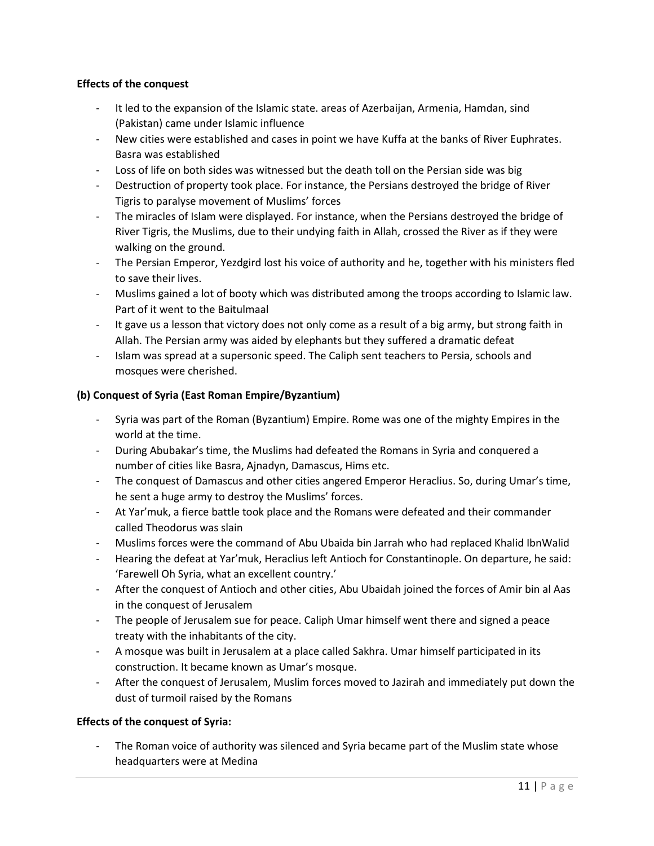#### **Effects of the conquest**

- It led to the expansion of the Islamic state. areas of Azerbaijan, Armenia, Hamdan, sind (Pakistan) came under Islamic influence
- New cities were established and cases in point we have Kuffa at the banks of River Euphrates. Basra was established
- Loss of life on both sides was witnessed but the death toll on the Persian side was big
- Destruction of property took place. For instance, the Persians destroyed the bridge of River Tigris to paralyse movement of Muslims' forces
- The miracles of Islam were displayed. For instance, when the Persians destroyed the bridge of River Tigris, the Muslims, due to their undying faith in Allah, crossed the River as if they were walking on the ground.
- The Persian Emperor, Yezdgird lost his voice of authority and he, together with his ministers fled to save their lives.
- Muslims gained a lot of booty which was distributed among the troops according to Islamic law. Part of it went to the Baitulmaal
- It gave us a lesson that victory does not only come as a result of a big army, but strong faith in Allah. The Persian army was aided by elephants but they suffered a dramatic defeat
- Islam was spread at a supersonic speed. The Caliph sent teachers to Persia, schools and mosques were cherished.

# **(b) Conquest of Syria (East Roman Empire/Byzantium)**

- Syria was part of the Roman (Byzantium) Empire. Rome was one of the mighty Empires in the world at the time.
- During Abubakar's time, the Muslims had defeated the Romans in Syria and conquered a number of cities like Basra, Ajnadyn, Damascus, Hims etc.
- The conquest of Damascus and other cities angered Emperor Heraclius. So, during Umar's time, he sent a huge army to destroy the Muslims' forces.
- At Yar'muk, a fierce battle took place and the Romans were defeated and their commander called Theodorus was slain
- Muslims forces were the command of Abu Ubaida bin Jarrah who had replaced Khalid IbnWalid
- Hearing the defeat at Yar'muk, Heraclius left Antioch for Constantinople. On departure, he said: 'Farewell Oh Syria, what an excellent country.'
- After the conquest of Antioch and other cities, Abu Ubaidah joined the forces of Amir bin al Aas in the conquest of Jerusalem
- The people of Jerusalem sue for peace. Caliph Umar himself went there and signed a peace treaty with the inhabitants of the city.
- A mosque was built in Jerusalem at a place called Sakhra. Umar himself participated in its construction. It became known as Umar's mosque.
- After the conquest of Jerusalem, Muslim forces moved to Jazirah and immediately put down the dust of turmoil raised by the Romans

#### **Effects of the conquest of Syria:**

The Roman voice of authority was silenced and Syria became part of the Muslim state whose headquarters were at Medina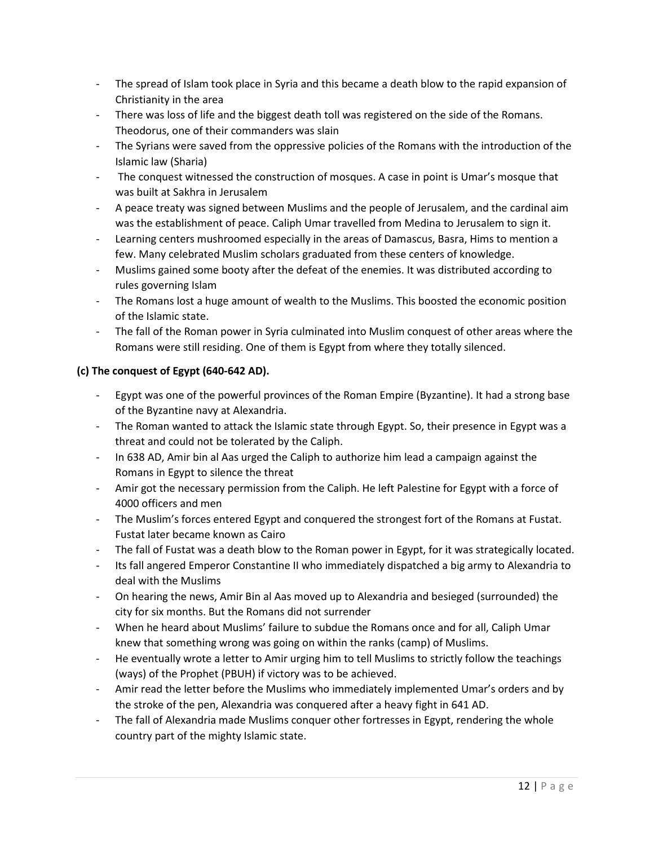- The spread of Islam took place in Syria and this became a death blow to the rapid expansion of Christianity in the area
- There was loss of life and the biggest death toll was registered on the side of the Romans. Theodorus, one of their commanders was slain
- The Syrians were saved from the oppressive policies of the Romans with the introduction of the Islamic law (Sharia)
- The conquest witnessed the construction of mosques. A case in point is Umar's mosque that was built at Sakhra in Jerusalem
- A peace treaty was signed between Muslims and the people of Jerusalem, and the cardinal aim was the establishment of peace. Caliph Umar travelled from Medina to Jerusalem to sign it.
- Learning centers mushroomed especially in the areas of Damascus, Basra, Hims to mention a few. Many celebrated Muslim scholars graduated from these centers of knowledge.
- Muslims gained some booty after the defeat of the enemies. It was distributed according to rules governing Islam
- The Romans lost a huge amount of wealth to the Muslims. This boosted the economic position of the Islamic state.
- The fall of the Roman power in Syria culminated into Muslim conquest of other areas where the Romans were still residing. One of them is Egypt from where they totally silenced.

# **(c) The conquest of Egypt (640-642 AD).**

- Egypt was one of the powerful provinces of the Roman Empire (Byzantine). It had a strong base of the Byzantine navy at Alexandria.
- The Roman wanted to attack the Islamic state through Egypt. So, their presence in Egypt was a threat and could not be tolerated by the Caliph.
- In 638 AD, Amir bin al Aas urged the Caliph to authorize him lead a campaign against the Romans in Egypt to silence the threat
- Amir got the necessary permission from the Caliph. He left Palestine for Egypt with a force of 4000 officers and men
- The Muslim's forces entered Egypt and conquered the strongest fort of the Romans at Fustat. Fustat later became known as Cairo
- The fall of Fustat was a death blow to the Roman power in Egypt, for it was strategically located.
- Its fall angered Emperor Constantine II who immediately dispatched a big army to Alexandria to deal with the Muslims
- On hearing the news, Amir Bin al Aas moved up to Alexandria and besieged (surrounded) the city for six months. But the Romans did not surrender
- When he heard about Muslims' failure to subdue the Romans once and for all, Caliph Umar knew that something wrong was going on within the ranks (camp) of Muslims.
- He eventually wrote a letter to Amir urging him to tell Muslims to strictly follow the teachings (ways) of the Prophet (PBUH) if victory was to be achieved.
- Amir read the letter before the Muslims who immediately implemented Umar's orders and by the stroke of the pen, Alexandria was conquered after a heavy fight in 641 AD.
- The fall of Alexandria made Muslims conquer other fortresses in Egypt, rendering the whole country part of the mighty Islamic state.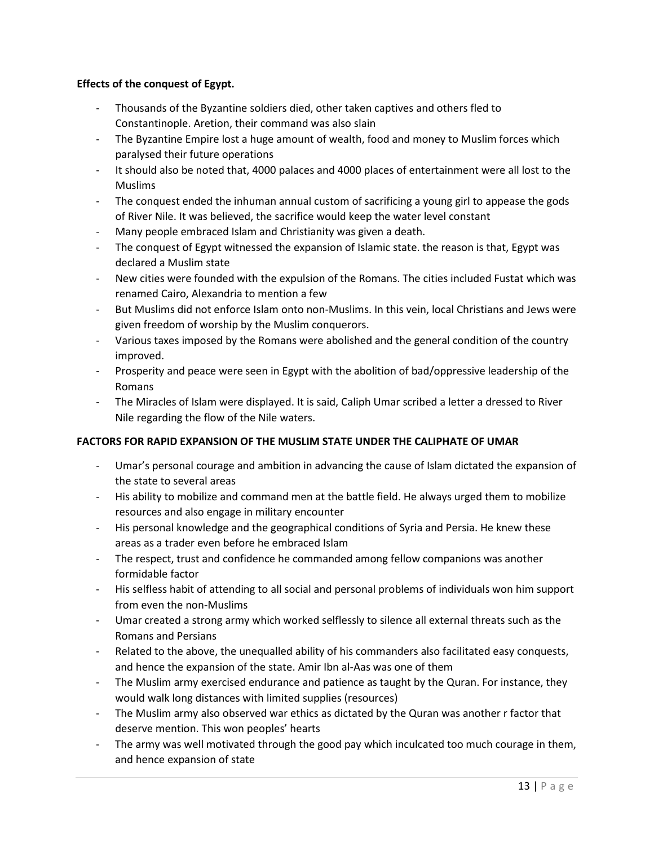# **Effects of the conquest of Egypt.**

- Thousands of the Byzantine soldiers died, other taken captives and others fled to Constantinople. Aretion, their command was also slain
- The Byzantine Empire lost a huge amount of wealth, food and money to Muslim forces which paralysed their future operations
- It should also be noted that, 4000 palaces and 4000 places of entertainment were all lost to the Muslims
- The conquest ended the inhuman annual custom of sacrificing a young girl to appease the gods of River Nile. It was believed, the sacrifice would keep the water level constant
- Many people embraced Islam and Christianity was given a death.
- The conquest of Egypt witnessed the expansion of Islamic state. the reason is that, Egypt was declared a Muslim state
- New cities were founded with the expulsion of the Romans. The cities included Fustat which was renamed Cairo, Alexandria to mention a few
- But Muslims did not enforce Islam onto non-Muslims. In this vein, local Christians and Jews were given freedom of worship by the Muslim conquerors.
- Various taxes imposed by the Romans were abolished and the general condition of the country improved.
- Prosperity and peace were seen in Egypt with the abolition of bad/oppressive leadership of the Romans
- The Miracles of Islam were displayed. It is said, Caliph Umar scribed a letter a dressed to River Nile regarding the flow of the Nile waters.

# **FACTORS FOR RAPID EXPANSION OF THE MUSLIM STATE UNDER THE CALIPHATE OF UMAR**

- Umar's personal courage and ambition in advancing the cause of Islam dictated the expansion of the state to several areas
- His ability to mobilize and command men at the battle field. He always urged them to mobilize resources and also engage in military encounter
- His personal knowledge and the geographical conditions of Syria and Persia. He knew these areas as a trader even before he embraced Islam
- The respect, trust and confidence he commanded among fellow companions was another formidable factor
- His selfless habit of attending to all social and personal problems of individuals won him support from even the non-Muslims
- Umar created a strong army which worked selflessly to silence all external threats such as the Romans and Persians
- Related to the above, the unequalled ability of his commanders also facilitated easy conquests, and hence the expansion of the state. Amir Ibn al-Aas was one of them
- The Muslim army exercised endurance and patience as taught by the Quran. For instance, they would walk long distances with limited supplies (resources)
- The Muslim army also observed war ethics as dictated by the Quran was another r factor that deserve mention. This won peoples' hearts
- The army was well motivated through the good pay which inculcated too much courage in them, and hence expansion of state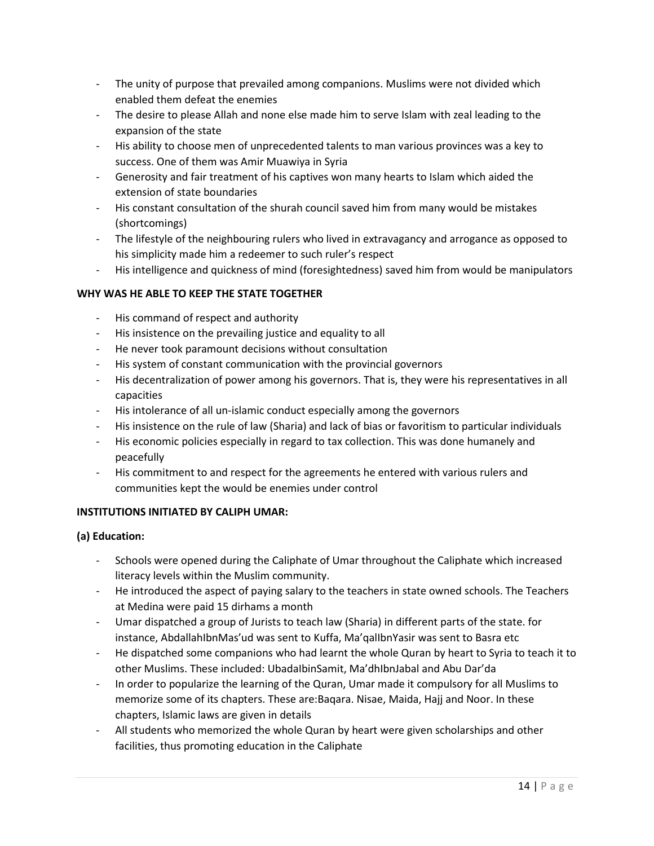- The unity of purpose that prevailed among companions. Muslims were not divided which enabled them defeat the enemies
- The desire to please Allah and none else made him to serve Islam with zeal leading to the expansion of the state
- His ability to choose men of unprecedented talents to man various provinces was a key to success. One of them was Amir Muawiya in Syria
- Generosity and fair treatment of his captives won many hearts to Islam which aided the extension of state boundaries
- His constant consultation of the shurah council saved him from many would be mistakes (shortcomings)
- The lifestyle of the neighbouring rulers who lived in extravagancy and arrogance as opposed to his simplicity made him a redeemer to such ruler's respect
- His intelligence and quickness of mind (foresightedness) saved him from would be manipulators

# **WHY WAS HE ABLE TO KEEP THE STATE TOGETHER**

- His command of respect and authority
- His insistence on the prevailing justice and equality to all
- He never took paramount decisions without consultation
- His system of constant communication with the provincial governors
- His decentralization of power among his governors. That is, they were his representatives in all capacities
- His intolerance of all un-islamic conduct especially among the governors
- His insistence on the rule of law (Sharia) and lack of bias or favoritism to particular individuals
- His economic policies especially in regard to tax collection. This was done humanely and peacefully
- His commitment to and respect for the agreements he entered with various rulers and communities kept the would be enemies under control

# **INSTITUTIONS INITIATED BY CALIPH UMAR:**

# **(a) Education:**

- Schools were opened during the Caliphate of Umar throughout the Caliphate which increased literacy levels within the Muslim community.
- He introduced the aspect of paying salary to the teachers in state owned schools. The Teachers at Medina were paid 15 dirhams a month
- Umar dispatched a group of Jurists to teach law (Sharia) in different parts of the state. for instance, AbdallahIbnMas'ud was sent to Kuffa, Ma'qalIbnYasir was sent to Basra etc
- He dispatched some companions who had learnt the whole Quran by heart to Syria to teach it to other Muslims. These included: UbadaIbinSamit, Ma'dhIbnJabal and Abu Dar'da
- In order to popularize the learning of the Quran, Umar made it compulsory for all Muslims to memorize some of its chapters. These are:Baqara. Nisae, Maida, Hajj and Noor. In these chapters, Islamic laws are given in details
- All students who memorized the whole Quran by heart were given scholarships and other facilities, thus promoting education in the Caliphate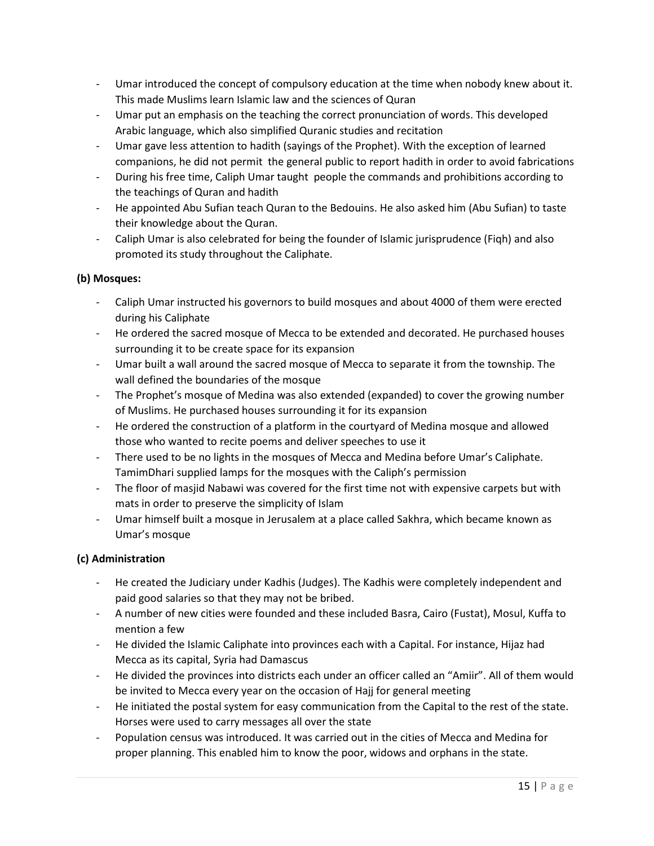- Umar introduced the concept of compulsory education at the time when nobody knew about it. This made Muslims learn Islamic law and the sciences of Quran
- Umar put an emphasis on the teaching the correct pronunciation of words. This developed Arabic language, which also simplified Quranic studies and recitation
- Umar gave less attention to hadith (sayings of the Prophet). With the exception of learned companions, he did not permit the general public to report hadith in order to avoid fabrications
- During his free time, Caliph Umar taught people the commands and prohibitions according to the teachings of Quran and hadith
- He appointed Abu Sufian teach Quran to the Bedouins. He also asked him (Abu Sufian) to taste their knowledge about the Quran.
- Caliph Umar is also celebrated for being the founder of Islamic jurisprudence (Fiqh) and also promoted its study throughout the Caliphate.

# **(b) Mosques:**

- Caliph Umar instructed his governors to build mosques and about 4000 of them were erected during his Caliphate
- He ordered the sacred mosque of Mecca to be extended and decorated. He purchased houses surrounding it to be create space for its expansion
- Umar built a wall around the sacred mosque of Mecca to separate it from the township. The wall defined the boundaries of the mosque
- The Prophet's mosque of Medina was also extended (expanded) to cover the growing number of Muslims. He purchased houses surrounding it for its expansion
- He ordered the construction of a platform in the courtyard of Medina mosque and allowed those who wanted to recite poems and deliver speeches to use it
- There used to be no lights in the mosques of Mecca and Medina before Umar's Caliphate. TamimDhari supplied lamps for the mosques with the Caliph's permission
- The floor of masjid Nabawi was covered for the first time not with expensive carpets but with mats in order to preserve the simplicity of Islam
- Umar himself built a mosque in Jerusalem at a place called Sakhra, which became known as Umar's mosque

# **(c) Administration**

- He created the Judiciary under Kadhis (Judges). The Kadhis were completely independent and paid good salaries so that they may not be bribed.
- A number of new cities were founded and these included Basra, Cairo (Fustat), Mosul, Kuffa to mention a few
- He divided the Islamic Caliphate into provinces each with a Capital. For instance, Hijaz had Mecca as its capital, Syria had Damascus
- He divided the provinces into districts each under an officer called an "Amiir". All of them would be invited to Mecca every year on the occasion of Hajj for general meeting
- He initiated the postal system for easy communication from the Capital to the rest of the state. Horses were used to carry messages all over the state
- Population census was introduced. It was carried out in the cities of Mecca and Medina for proper planning. This enabled him to know the poor, widows and orphans in the state.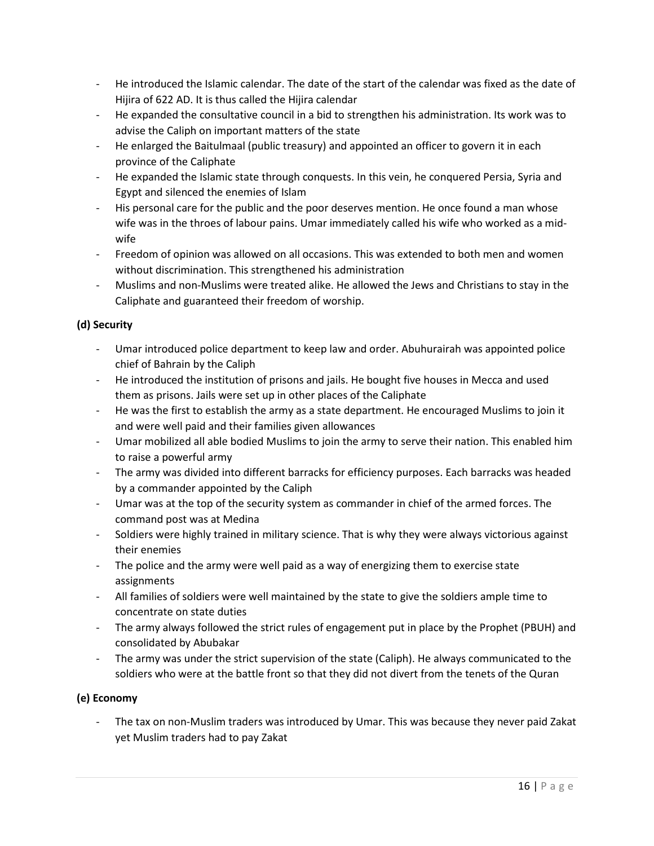- He introduced the Islamic calendar. The date of the start of the calendar was fixed as the date of Hijira of 622 AD. It is thus called the Hijira calendar
- He expanded the consultative council in a bid to strengthen his administration. Its work was to advise the Caliph on important matters of the state
- He enlarged the Baitulmaal (public treasury) and appointed an officer to govern it in each province of the Caliphate
- He expanded the Islamic state through conquests. In this vein, he conquered Persia, Syria and Egypt and silenced the enemies of Islam
- His personal care for the public and the poor deserves mention. He once found a man whose wife was in the throes of labour pains. Umar immediately called his wife who worked as a midwife
- Freedom of opinion was allowed on all occasions. This was extended to both men and women without discrimination. This strengthened his administration
- Muslims and non-Muslims were treated alike. He allowed the Jews and Christians to stay in the Caliphate and guaranteed their freedom of worship.

# **(d) Security**

- Umar introduced police department to keep law and order. Abuhurairah was appointed police chief of Bahrain by the Caliph
- He introduced the institution of prisons and jails. He bought five houses in Mecca and used them as prisons. Jails were set up in other places of the Caliphate
- He was the first to establish the army as a state department. He encouraged Muslims to join it and were well paid and their families given allowances
- Umar mobilized all able bodied Muslims to join the army to serve their nation. This enabled him to raise a powerful army
- The army was divided into different barracks for efficiency purposes. Each barracks was headed by a commander appointed by the Caliph
- Umar was at the top of the security system as commander in chief of the armed forces. The command post was at Medina
- Soldiers were highly trained in military science. That is why they were always victorious against their enemies
- The police and the army were well paid as a way of energizing them to exercise state assignments
- All families of soldiers were well maintained by the state to give the soldiers ample time to concentrate on state duties
- The army always followed the strict rules of engagement put in place by the Prophet (PBUH) and consolidated by Abubakar
- The army was under the strict supervision of the state (Caliph). He always communicated to the soldiers who were at the battle front so that they did not divert from the tenets of the Quran

# **(e) Economy**

The tax on non-Muslim traders was introduced by Umar. This was because they never paid Zakat yet Muslim traders had to pay Zakat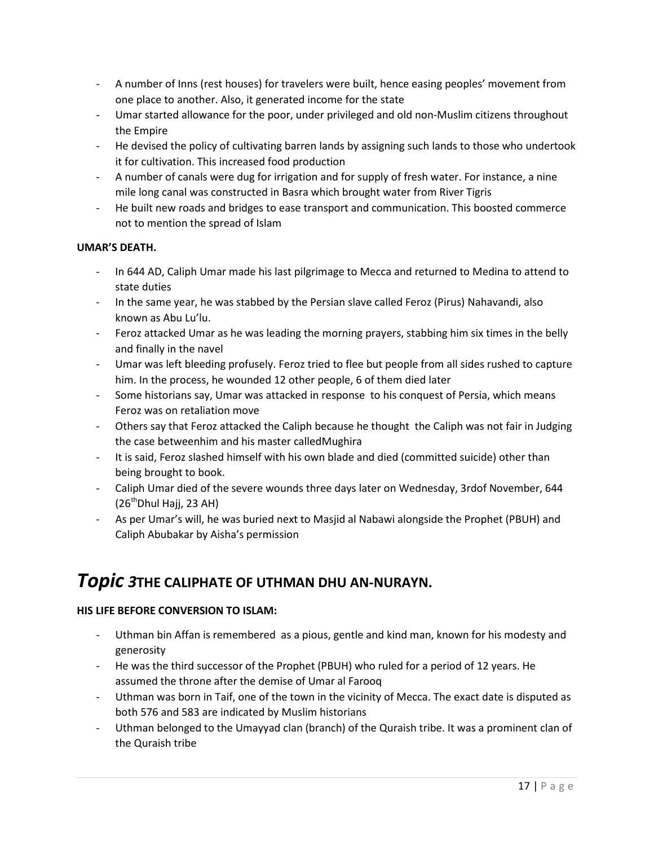- A number of Inns (rest houses) for travelers were built, hence easing peoples' movement from one place to another. Also, it generated income for the state
- Umar started allowance for the poor, under privileged and old non-Muslim citizens throughout the Empire
- He devised the policy of cultivating barren lands by assigning such lands to those who undertook it for cultivation. This increased food production
- A number of canals were dug for irrigation and for supply of fresh water. For instance, a nine mile long canal was constructed in Basra which brought water from River Tigris
- He built new roads and bridges to ease transport and communication. This boosted commerce not to mention the spread of Islam

# **UMAR'S DEATH.**

- In 644 AD, Caliph Umar made his last pilgrimage to Mecca and returned to Medina to attend to state duties
- In the same year, he was stabbed by the Persian slave called Feroz (Pirus) Nahavandi, also known as Abu Lu'lu.
- Feroz attacked Umar as he was leading the morning prayers, stabbing him six times in the belly and finally in the navel
- Umar was left bleeding profusely. Feroz tried to flee but people from all sides rushed to capture him. In the process, he wounded 12 other people, 6 of them died later
- Some historians say, Umar was attacked in response to his conquest of Persia, which means Feroz was on retaliation move
- Others say that Feroz attacked the Caliph because he thought the Caliph was not fair in Judging the case betweenhim and his master calledMughira
- It is said, Feroz slashed himself with his own blade and died (committed suicide) other than being brought to book.
- Caliph Umar died of the severe wounds three days later on Wednesday, 3rdof November, 644  $(26<sup>th</sup>Dhul Haji, 23 AH)$
- As per Umar's will, he was buried next to Masjid al Nabawi alongside the Prophet (PBUH) and Caliph Abubakar by Aisha's permission

# *Topic 3***THE CALIPHATE OF UTHMAN DHU AN-NURAYN.**

# **HIS LIFE BEFORE CONVERSION TO ISLAM:**

- Uthman bin Affan is remembered as a pious, gentle and kind man, known for his modesty and generosity
- He was the third successor of the Prophet (PBUH) who ruled for a period of 12 years. He assumed the throne after the demise of Umar al Farooq
- Uthman was born in Taif, one of the town in the vicinity of Mecca. The exact date is disputed as both 576 and 583 are indicated by Muslim historians
- Uthman belonged to the Umayyad clan (branch) of the Quraish tribe. It was a prominent clan of the Quraish tribe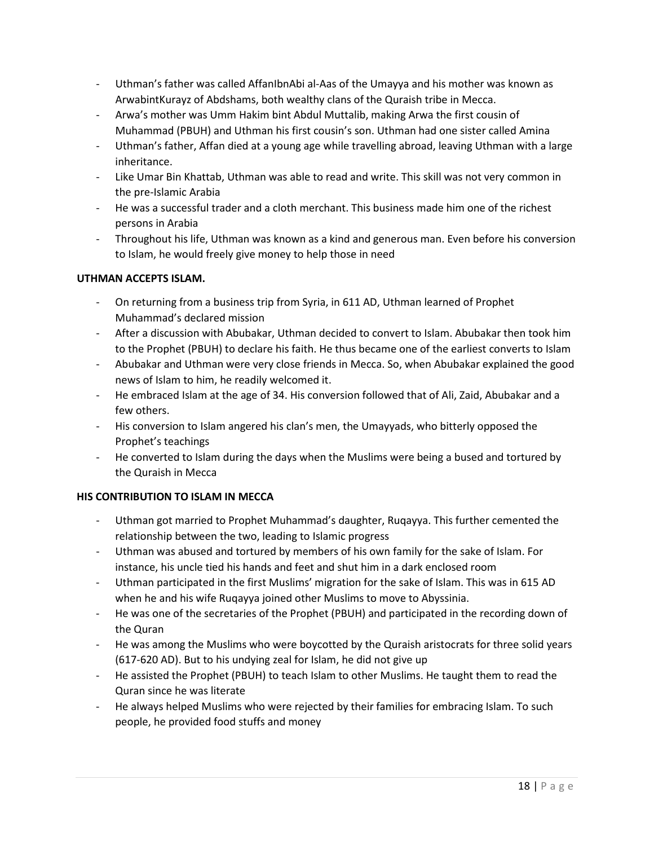- Uthman's father was called AffanIbnAbi al-Aas of the Umayya and his mother was known as ArwabintKurayz of Abdshams, both wealthy clans of the Quraish tribe in Mecca.
- Arwa's mother was Umm Hakim bint Abdul Muttalib, making Arwa the first cousin of Muhammad (PBUH) and Uthman his first cousin's son. Uthman had one sister called Amina
- Uthman's father, Affan died at a young age while travelling abroad, leaving Uthman with a large inheritance.
- Like Umar Bin Khattab, Uthman was able to read and write. This skill was not very common in the pre-Islamic Arabia
- He was a successful trader and a cloth merchant. This business made him one of the richest persons in Arabia
- Throughout his life, Uthman was known as a kind and generous man. Even before his conversion to Islam, he would freely give money to help those in need

# **UTHMAN ACCEPTS ISLAM.**

- On returning from a business trip from Syria, in 611 AD, Uthman learned of Prophet Muhammad's declared mission
- After a discussion with Abubakar, Uthman decided to convert to Islam. Abubakar then took him to the Prophet (PBUH) to declare his faith. He thus became one of the earliest converts to Islam
- Abubakar and Uthman were very close friends in Mecca. So, when Abubakar explained the good news of Islam to him, he readily welcomed it.
- He embraced Islam at the age of 34. His conversion followed that of Ali, Zaid, Abubakar and a few others.
- His conversion to Islam angered his clan's men, the Umayyads, who bitterly opposed the Prophet's teachings
- He converted to Islam during the days when the Muslims were being a bused and tortured by the Quraish in Mecca

# **HIS CONTRIBUTION TO ISLAM IN MECCA**

- Uthman got married to Prophet Muhammad's daughter, Ruqayya. This further cemented the relationship between the two, leading to Islamic progress
- Uthman was abused and tortured by members of his own family for the sake of Islam. For instance, his uncle tied his hands and feet and shut him in a dark enclosed room
- Uthman participated in the first Muslims' migration for the sake of Islam. This was in 615 AD when he and his wife Ruqayya joined other Muslims to move to Abyssinia.
- He was one of the secretaries of the Prophet (PBUH) and participated in the recording down of the Quran
- He was among the Muslims who were boycotted by the Quraish aristocrats for three solid years (617-620 AD). But to his undying zeal for Islam, he did not give up
- He assisted the Prophet (PBUH) to teach Islam to other Muslims. He taught them to read the Quran since he was literate
- He always helped Muslims who were rejected by their families for embracing Islam. To such people, he provided food stuffs and money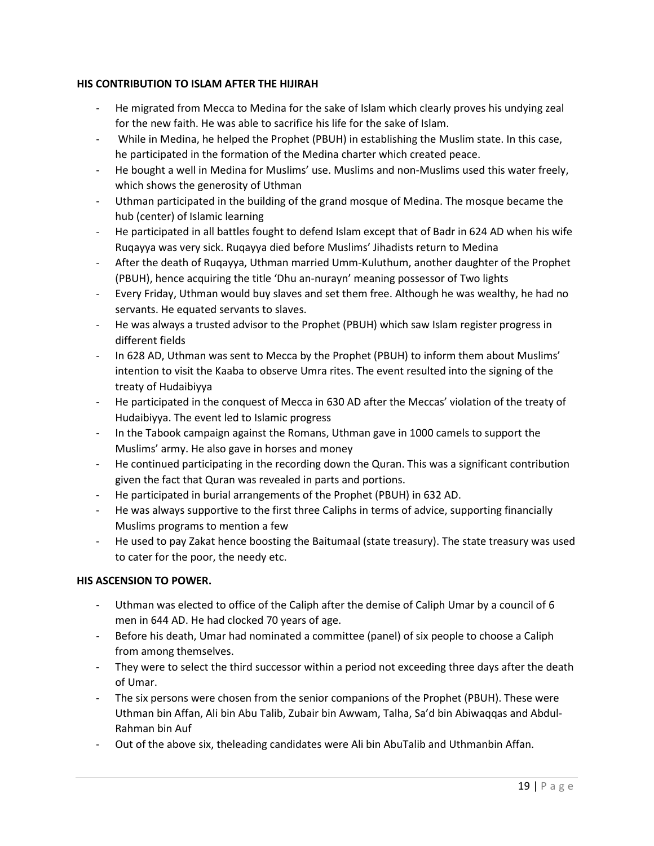# **HIS CONTRIBUTION TO ISLAM AFTER THE HIJIRAH**

- He migrated from Mecca to Medina for the sake of Islam which clearly proves his undying zeal for the new faith. He was able to sacrifice his life for the sake of Islam.
- While in Medina, he helped the Prophet (PBUH) in establishing the Muslim state. In this case, he participated in the formation of the Medina charter which created peace.
- He bought a well in Medina for Muslims' use. Muslims and non-Muslims used this water freely, which shows the generosity of Uthman
- Uthman participated in the building of the grand mosque of Medina. The mosque became the hub (center) of Islamic learning
- He participated in all battles fought to defend Islam except that of Badr in 624 AD when his wife Ruqayya was very sick. Ruqayya died before Muslims' Jihadists return to Medina
- After the death of Ruqayya, Uthman married Umm-Kuluthum, another daughter of the Prophet (PBUH), hence acquiring the title 'Dhu an-nurayn' meaning possessor of Two lights
- Every Friday, Uthman would buy slaves and set them free. Although he was wealthy, he had no servants. He equated servants to slaves.
- He was always a trusted advisor to the Prophet (PBUH) which saw Islam register progress in different fields
- In 628 AD, Uthman was sent to Mecca by the Prophet (PBUH) to inform them about Muslims' intention to visit the Kaaba to observe Umra rites. The event resulted into the signing of the treaty of Hudaibiyya
- He participated in the conquest of Mecca in 630 AD after the Meccas' violation of the treaty of Hudaibiyya. The event led to Islamic progress
- In the Tabook campaign against the Romans, Uthman gave in 1000 camels to support the Muslims' army. He also gave in horses and money
- He continued participating in the recording down the Quran. This was a significant contribution given the fact that Quran was revealed in parts and portions.
- He participated in burial arrangements of the Prophet (PBUH) in 632 AD.
- He was always supportive to the first three Caliphs in terms of advice, supporting financially Muslims programs to mention a few
- He used to pay Zakat hence boosting the Baitumaal (state treasury). The state treasury was used to cater for the poor, the needy etc.

# **HIS ASCENSION TO POWER.**

- Uthman was elected to office of the Caliph after the demise of Caliph Umar by a council of 6 men in 644 AD. He had clocked 70 years of age.
- Before his death, Umar had nominated a committee (panel) of six people to choose a Caliph from among themselves.
- They were to select the third successor within a period not exceeding three days after the death of Umar.
- The six persons were chosen from the senior companions of the Prophet (PBUH). These were Uthman bin Affan, Ali bin Abu Talib, Zubair bin Awwam, Talha, Sa'd bin Abiwaqqas and Abdul-Rahman bin Auf
- Out of the above six, theleading candidates were Ali bin AbuTalib and Uthmanbin Affan.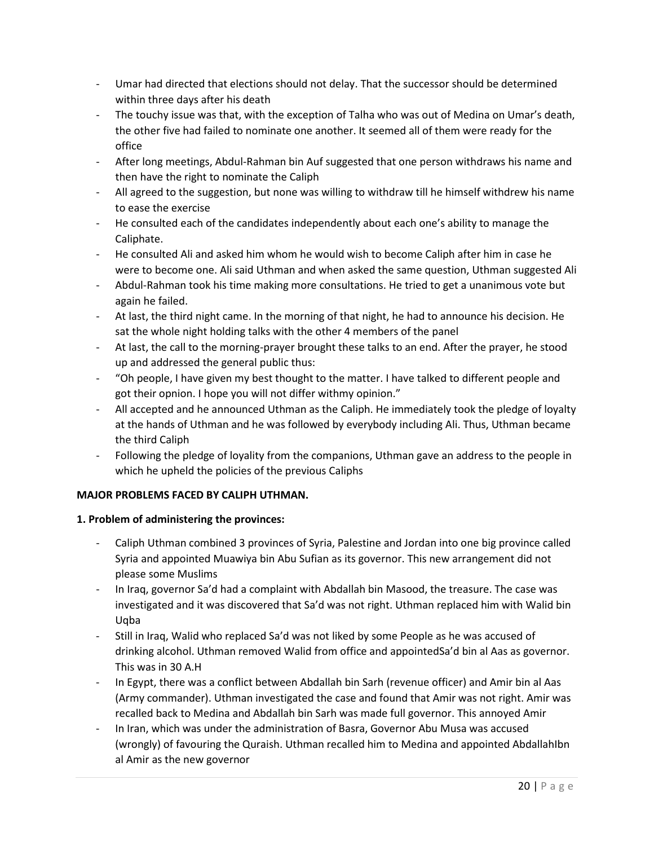- Umar had directed that elections should not delay. That the successor should be determined within three days after his death
- The touchy issue was that, with the exception of Talha who was out of Medina on Umar's death, the other five had failed to nominate one another. It seemed all of them were ready for the office
- After long meetings, Abdul-Rahman bin Auf suggested that one person withdraws his name and then have the right to nominate the Caliph
- All agreed to the suggestion, but none was willing to withdraw till he himself withdrew his name to ease the exercise
- He consulted each of the candidates independently about each one's ability to manage the Caliphate.
- He consulted Ali and asked him whom he would wish to become Caliph after him in case he were to become one. Ali said Uthman and when asked the same question, Uthman suggested Ali
- Abdul-Rahman took his time making more consultations. He tried to get a unanimous vote but again he failed.
- At last, the third night came. In the morning of that night, he had to announce his decision. He sat the whole night holding talks with the other 4 members of the panel
- At last, the call to the morning-prayer brought these talks to an end. After the prayer, he stood up and addressed the general public thus:
- "Oh people, I have given my best thought to the matter. I have talked to different people and got their opnion. I hope you will not differ withmy opinion."
- All accepted and he announced Uthman as the Caliph. He immediately took the pledge of loyalty at the hands of Uthman and he was followed by everybody including Ali. Thus, Uthman became the third Caliph
- Following the pledge of loyality from the companions, Uthman gave an address to the people in which he upheld the policies of the previous Caliphs

# **MAJOR PROBLEMS FACED BY CALIPH UTHMAN.**

# **1. Problem of administering the provinces:**

- Caliph Uthman combined 3 provinces of Syria, Palestine and Jordan into one big province called Syria and appointed Muawiya bin Abu Sufian as its governor. This new arrangement did not please some Muslims
- In Iraq, governor Sa'd had a complaint with Abdallah bin Masood, the treasure. The case was investigated and it was discovered that Sa'd was not right. Uthman replaced him with Walid bin Uqba
- Still in Iraq, Walid who replaced Sa'd was not liked by some People as he was accused of drinking alcohol. Uthman removed Walid from office and appointedSa'd bin al Aas as governor. This was in 30 A.H
- In Egypt, there was a conflict between Abdallah bin Sarh (revenue officer) and Amir bin al Aas (Army commander). Uthman investigated the case and found that Amir was not right. Amir was recalled back to Medina and Abdallah bin Sarh was made full governor. This annoyed Amir
- In Iran, which was under the administration of Basra, Governor Abu Musa was accused (wrongly) of favouring the Quraish. Uthman recalled him to Medina and appointed AbdallahIbn al Amir as the new governor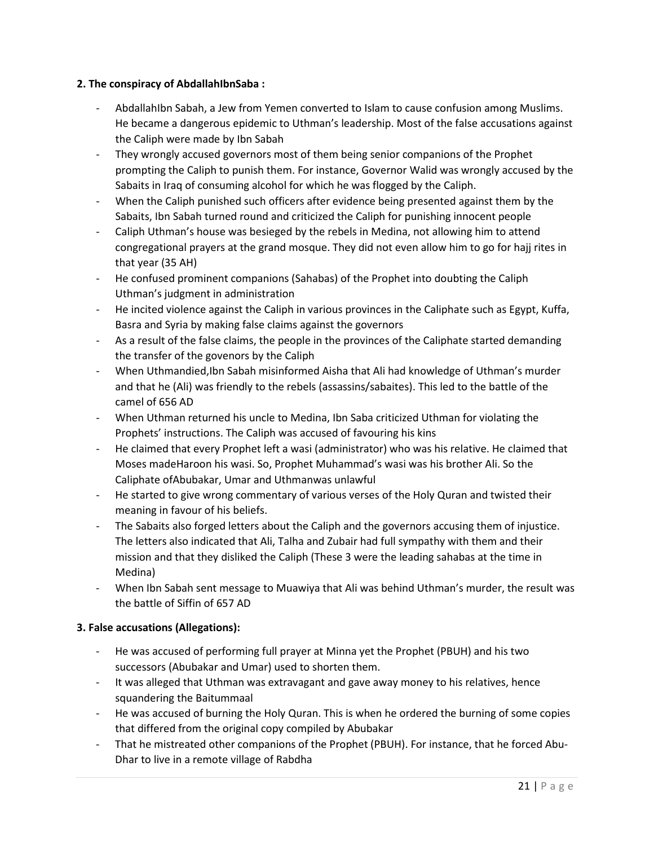# **2. The conspiracy of AbdallahIbnSaba :**

- AbdallahIbn Sabah, a Jew from Yemen converted to Islam to cause confusion among Muslims. He became a dangerous epidemic to Uthman's leadership. Most of the false accusations against the Caliph were made by Ibn Sabah
- They wrongly accused governors most of them being senior companions of the Prophet prompting the Caliph to punish them. For instance, Governor Walid was wrongly accused by the Sabaits in Iraq of consuming alcohol for which he was flogged by the Caliph.
- When the Caliph punished such officers after evidence being presented against them by the Sabaits, Ibn Sabah turned round and criticized the Caliph for punishing innocent people
- Caliph Uthman's house was besieged by the rebels in Medina, not allowing him to attend congregational prayers at the grand mosque. They did not even allow him to go for hajj rites in that year (35 AH)
- He confused prominent companions (Sahabas) of the Prophet into doubting the Caliph Uthman's judgment in administration
- He incited violence against the Caliph in various provinces in the Caliphate such as Egypt, Kuffa, Basra and Syria by making false claims against the governors
- As a result of the false claims, the people in the provinces of the Caliphate started demanding the transfer of the govenors by the Caliph
- When Uthmandied,Ibn Sabah misinformed Aisha that Ali had knowledge of Uthman's murder and that he (Ali) was friendly to the rebels (assassins/sabaites). This led to the battle of the camel of 656 AD
- When Uthman returned his uncle to Medina, Ibn Saba criticized Uthman for violating the Prophets' instructions. The Caliph was accused of favouring his kins
- He claimed that every Prophet left a wasi (administrator) who was his relative. He claimed that Moses madeHaroon his wasi. So, Prophet Muhammad's wasi was his brother Ali. So the Caliphate ofAbubakar, Umar and Uthmanwas unlawful
- He started to give wrong commentary of various verses of the Holy Quran and twisted their meaning in favour of his beliefs.
- The Sabaits also forged letters about the Caliph and the governors accusing them of injustice. The letters also indicated that Ali, Talha and Zubair had full sympathy with them and their mission and that they disliked the Caliph (These 3 were the leading sahabas at the time in Medina)
- When Ibn Sabah sent message to Muawiya that Ali was behind Uthman's murder, the result was the battle of Siffin of 657 AD

# **3. False accusations (Allegations):**

- He was accused of performing full prayer at Minna yet the Prophet (PBUH) and his two successors (Abubakar and Umar) used to shorten them.
- It was alleged that Uthman was extravagant and gave away money to his relatives, hence squandering the Baitummaal
- He was accused of burning the Holy Quran. This is when he ordered the burning of some copies that differed from the original copy compiled by Abubakar
- That he mistreated other companions of the Prophet (PBUH). For instance, that he forced Abu-Dhar to live in a remote village of Rabdha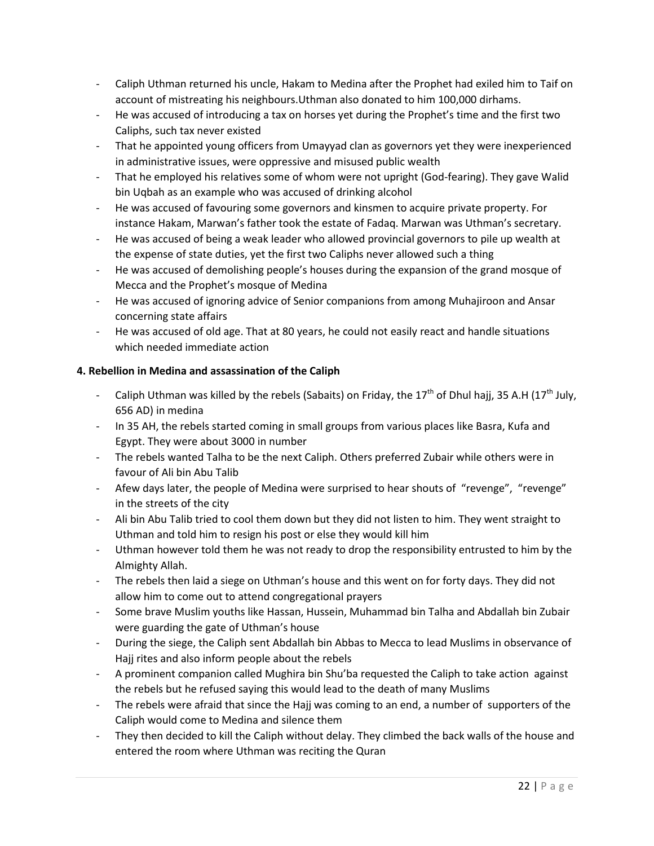- Caliph Uthman returned his uncle, Hakam to Medina after the Prophet had exiled him to Taif on account of mistreating his neighbours.Uthman also donated to him 100,000 dirhams.
- He was accused of introducing a tax on horses yet during the Prophet's time and the first two Caliphs, such tax never existed
- That he appointed young officers from Umayyad clan as governors yet they were inexperienced in administrative issues, were oppressive and misused public wealth
- That he employed his relatives some of whom were not upright (God-fearing). They gave Walid bin Uqbah as an example who was accused of drinking alcohol
- He was accused of favouring some governors and kinsmen to acquire private property. For instance Hakam, Marwan's father took the estate of Fadaq. Marwan was Uthman's secretary.
- He was accused of being a weak leader who allowed provincial governors to pile up wealth at the expense of state duties, yet the first two Caliphs never allowed such a thing
- He was accused of demolishing people's houses during the expansion of the grand mosque of Mecca and the Prophet's mosque of Medina
- He was accused of ignoring advice of Senior companions from among Muhajiroon and Ansar concerning state affairs
- He was accused of old age. That at 80 years, he could not easily react and handle situations which needed immediate action

# **4. Rebellion in Medina and assassination of the Caliph**

- Caliph Uthman was killed by the rebels (Sabaits) on Friday, the 17<sup>th</sup> of Dhul hajj, 35 A.H (17<sup>th</sup> July, 656 AD) in medina
- In 35 AH, the rebels started coming in small groups from various places like Basra, Kufa and Egypt. They were about 3000 in number
- The rebels wanted Talha to be the next Caliph. Others preferred Zubair while others were in favour of Ali bin Abu Talib
- Afew days later, the people of Medina were surprised to hear shouts of "revenge", "revenge" in the streets of the city
- Ali bin Abu Talib tried to cool them down but they did not listen to him. They went straight to Uthman and told him to resign his post or else they would kill him
- Uthman however told them he was not ready to drop the responsibility entrusted to him by the Almighty Allah.
- The rebels then laid a siege on Uthman's house and this went on for forty days. They did not allow him to come out to attend congregational prayers
- Some brave Muslim youths like Hassan, Hussein, Muhammad bin Talha and Abdallah bin Zubair were guarding the gate of Uthman's house
- During the siege, the Caliph sent Abdallah bin Abbas to Mecca to lead Muslims in observance of Hajj rites and also inform people about the rebels
- A prominent companion called Mughira bin Shu'ba requested the Caliph to take action against the rebels but he refused saying this would lead to the death of many Muslims
- The rebels were afraid that since the Hajj was coming to an end, a number of supporters of the Caliph would come to Medina and silence them
- They then decided to kill the Caliph without delay. They climbed the back walls of the house and entered the room where Uthman was reciting the Quran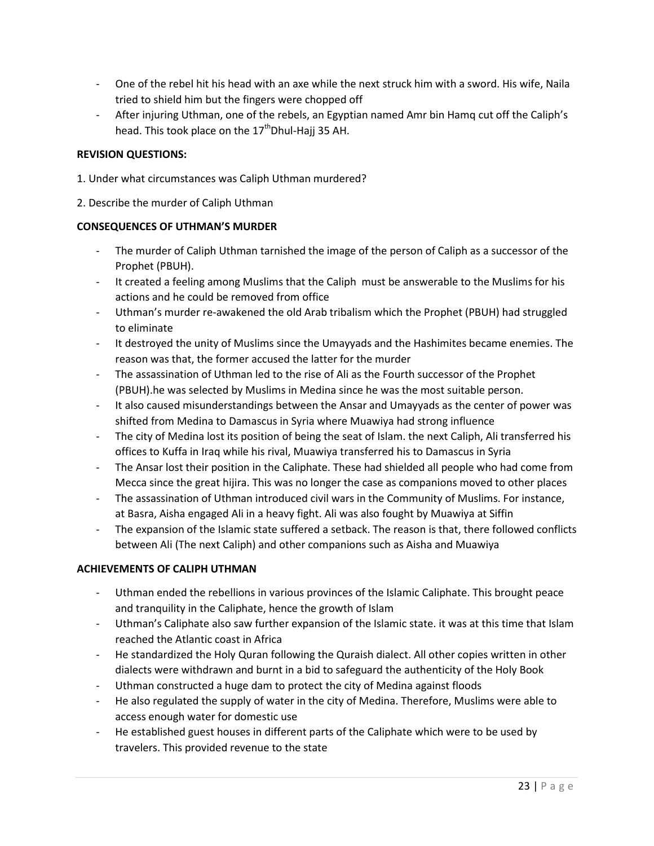- One of the rebel hit his head with an axe while the next struck him with a sword. His wife, Naila tried to shield him but the fingers were chopped off
- After injuring Uthman, one of the rebels, an Egyptian named Amr bin Hamq cut off the Caliph's head. This took place on the  $17<sup>th</sup>$ Dhul-Hajj 35 AH.

#### **REVISION QUESTIONS:**

- 1. Under what circumstances was Caliph Uthman murdered?
- 2. Describe the murder of Caliph Uthman

#### **CONSEQUENCES OF UTHMAN'S MURDER**

- The murder of Caliph Uthman tarnished the image of the person of Caliph as a successor of the Prophet (PBUH).
- It created a feeling among Muslims that the Caliph must be answerable to the Muslims for his actions and he could be removed from office
- Uthman's murder re-awakened the old Arab tribalism which the Prophet (PBUH) had struggled to eliminate
- It destroyed the unity of Muslims since the Umayyads and the Hashimites became enemies. The reason was that, the former accused the latter for the murder
- The assassination of Uthman led to the rise of Ali as the Fourth successor of the Prophet (PBUH).he was selected by Muslims in Medina since he was the most suitable person.
- It also caused misunderstandings between the Ansar and Umayyads as the center of power was shifted from Medina to Damascus in Syria where Muawiya had strong influence
- The city of Medina lost its position of being the seat of Islam. the next Caliph, Ali transferred his offices to Kuffa in Iraq while his rival, Muawiya transferred his to Damascus in Syria
- The Ansar lost their position in the Caliphate. These had shielded all people who had come from Mecca since the great hijira. This was no longer the case as companions moved to other places
- The assassination of Uthman introduced civil wars in the Community of Muslims. For instance, at Basra, Aisha engaged Ali in a heavy fight. Ali was also fought by Muawiya at Siffin
- The expansion of the Islamic state suffered a setback. The reason is that, there followed conflicts between Ali (The next Caliph) and other companions such as Aisha and Muawiya

# **ACHIEVEMENTS OF CALIPH UTHMAN**

- Uthman ended the rebellions in various provinces of the Islamic Caliphate. This brought peace and tranquility in the Caliphate, hence the growth of Islam
- Uthman's Caliphate also saw further expansion of the Islamic state. it was at this time that Islam reached the Atlantic coast in Africa
- He standardized the Holy Quran following the Quraish dialect. All other copies written in other dialects were withdrawn and burnt in a bid to safeguard the authenticity of the Holy Book
- Uthman constructed a huge dam to protect the city of Medina against floods
- He also regulated the supply of water in the city of Medina. Therefore, Muslims were able to access enough water for domestic use
- He established guest houses in different parts of the Caliphate which were to be used by travelers. This provided revenue to the state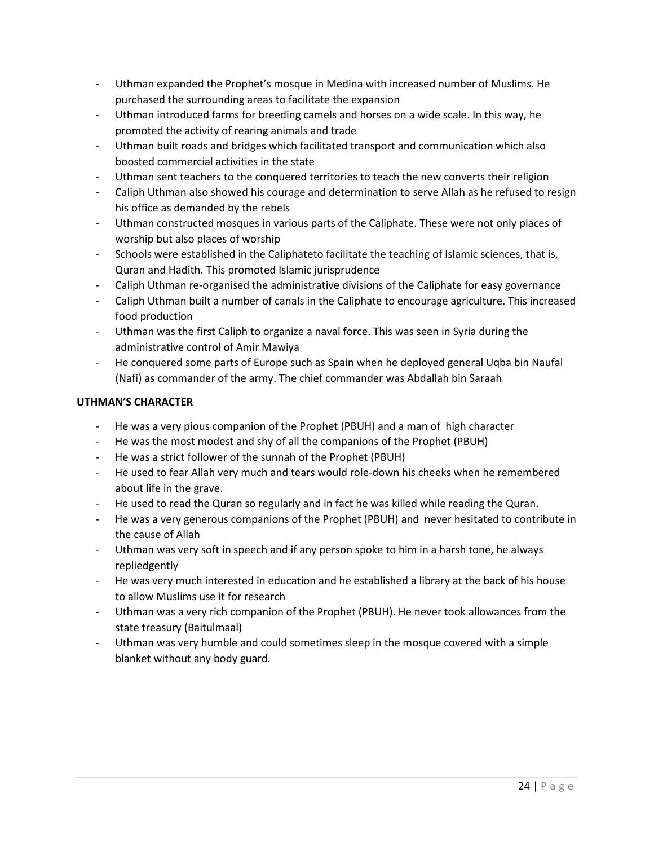- Uthman expanded the Prophet's mosque in Medina with increased number of Muslims. He purchased the surrounding areas to facilitate the expansion
- Uthman introduced farms for breeding camels and horses on a wide scale. In this way, he promoted the activity of rearing animals and trade
- Uthman built roads and bridges which facilitated transport and communication which also boosted commercial activities in the state
- Uthman sent teachers to the conquered territories to teach the new converts their religion
- Caliph Uthman also showed his courage and determination to serve Allah as he refused to resign his office as demanded by the rebels
- Uthman constructed mosques in various parts of the Caliphate. These were not only places of worship but also places of worship
- Schools were established in the Caliphateto facilitate the teaching of Islamic sciences, that is, Quran and Hadith. This promoted Islamic jurisprudence
- Caliph Uthman re-organised the administrative divisions of the Caliphate for easy governance
- Caliph Uthman built a number of canals in the Caliphate to encourage agriculture. This increased food production
- Uthman was the first Caliph to organize a naval force. This was seen in Syria during the administrative control of Amir Mawiya
- He conquered some parts of Europe such as Spain when he deployed general Uqba bin Naufal (Nafi) as commander of the army. The chief commander was Abdallah bin Saraah

# **UTHMAN'S CHARACTER**

- He was a very pious companion of the Prophet (PBUH) and a man of high character
- He was the most modest and shy of all the companions of the Prophet (PBUH)
- He was a strict follower of the sunnah of the Prophet (PBUH)
- He used to fear Allah very much and tears would role-down his cheeks when he remembered about life in the grave.
- He used to read the Quran so regularly and in fact he was killed while reading the Quran.
- He was a very generous companions of the Prophet (PBUH) and never hesitated to contribute in the cause of Allah
- Uthman was very soft in speech and if any person spoke to him in a harsh tone, he always repliedgently
- He was very much interested in education and he established a library at the back of his house to allow Muslims use it for research
- Uthman was a very rich companion of the Prophet (PBUH). He never took allowances from the state treasury (Baitulmaal)
- Uthman was very humble and could sometimes sleep in the mosque covered with a simple blanket without any body guard.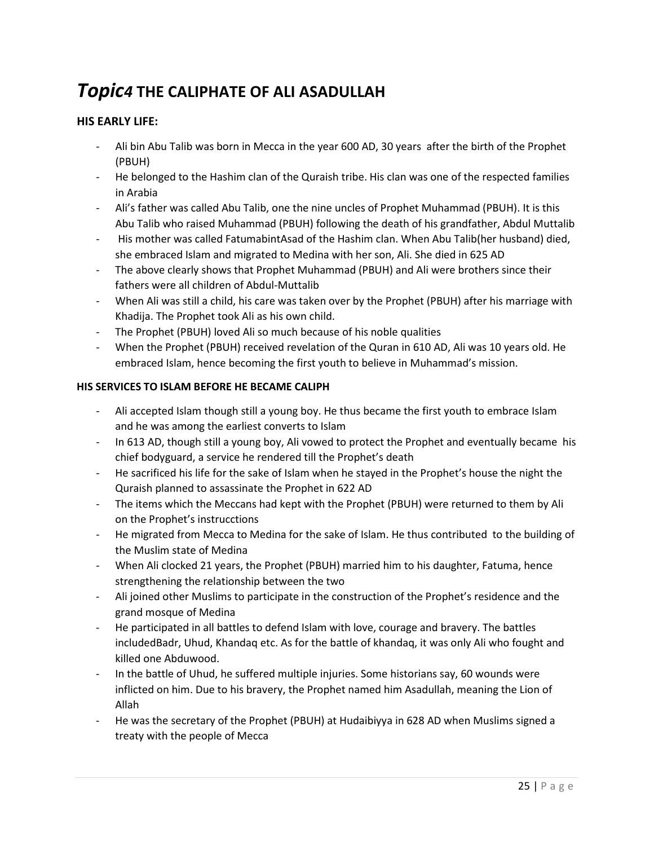# *Topic4* **THE CALIPHATE OF ALI ASADULLAH**

# **HIS EARLY LIFE:**

- Ali bin Abu Talib was born in Mecca in the year 600 AD, 30 years after the birth of the Prophet (PBUH)
- He belonged to the Hashim clan of the Quraish tribe. His clan was one of the respected families in Arabia
- Ali's father was called Abu Talib, one the nine uncles of Prophet Muhammad (PBUH). It is this Abu Talib who raised Muhammad (PBUH) following the death of his grandfather, Abdul Muttalib
- His mother was called FatumabintAsad of the Hashim clan. When Abu Talib(her husband) died, she embraced Islam and migrated to Medina with her son, Ali. She died in 625 AD
- The above clearly shows that Prophet Muhammad (PBUH) and Ali were brothers since their fathers were all children of Abdul-Muttalib
- When Ali was still a child, his care was taken over by the Prophet (PBUH) after his marriage with Khadija. The Prophet took Ali as his own child.
- The Prophet (PBUH) loved Ali so much because of his noble qualities
- When the Prophet (PBUH) received revelation of the Quran in 610 AD, Ali was 10 years old. He embraced Islam, hence becoming the first youth to believe in Muhammad's mission.

# **HIS SERVICES TO ISLAM BEFORE HE BECAME CALIPH**

- Ali accepted Islam though still a young boy. He thus became the first youth to embrace Islam and he was among the earliest converts to Islam
- In 613 AD, though still a young boy, Ali vowed to protect the Prophet and eventually became his chief bodyguard, a service he rendered till the Prophet's death
- He sacrificed his life for the sake of Islam when he stayed in the Prophet's house the night the Quraish planned to assassinate the Prophet in 622 AD
- The items which the Meccans had kept with the Prophet (PBUH) were returned to them by Ali on the Prophet's instrucctions
- He migrated from Mecca to Medina for the sake of Islam. He thus contributed to the building of the Muslim state of Medina
- When Ali clocked 21 years, the Prophet (PBUH) married him to his daughter, Fatuma, hence strengthening the relationship between the two
- Ali joined other Muslims to participate in the construction of the Prophet's residence and the grand mosque of Medina
- He participated in all battles to defend Islam with love, courage and bravery. The battles includedBadr, Uhud, Khandaq etc. As for the battle of khandaq, it was only Ali who fought and killed one Abduwood.
- In the battle of Uhud, he suffered multiple injuries. Some historians say, 60 wounds were inflicted on him. Due to his bravery, the Prophet named him Asadullah, meaning the Lion of Allah
- He was the secretary of the Prophet (PBUH) at Hudaibiyya in 628 AD when Muslims signed a treaty with the people of Mecca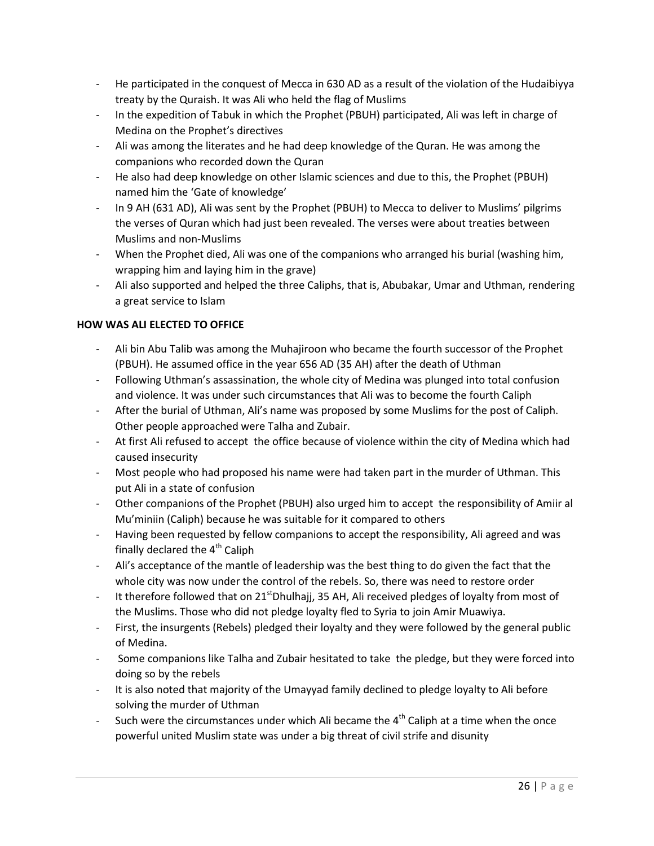- He participated in the conquest of Mecca in 630 AD as a result of the violation of the Hudaibiyya treaty by the Quraish. It was Ali who held the flag of Muslims
- In the expedition of Tabuk in which the Prophet (PBUH) participated, Ali was left in charge of Medina on the Prophet's directives
- Ali was among the literates and he had deep knowledge of the Quran. He was among the companions who recorded down the Quran
- He also had deep knowledge on other Islamic sciences and due to this, the Prophet (PBUH) named him the 'Gate of knowledge'
- In 9 AH (631 AD), Ali was sent by the Prophet (PBUH) to Mecca to deliver to Muslims' pilgrims the verses of Quran which had just been revealed. The verses were about treaties between Muslims and non-Muslims
- When the Prophet died, Ali was one of the companions who arranged his burial (washing him, wrapping him and laying him in the grave)
- Ali also supported and helped the three Caliphs, that is, Abubakar, Umar and Uthman, rendering a great service to Islam

# **HOW WAS ALI ELECTED TO OFFICE**

- Ali bin Abu Talib was among the Muhajiroon who became the fourth successor of the Prophet (PBUH). He assumed office in the year 656 AD (35 AH) after the death of Uthman
- Following Uthman's assassination, the whole city of Medina was plunged into total confusion and violence. It was under such circumstances that Ali was to become the fourth Caliph
- After the burial of Uthman, Ali's name was proposed by some Muslims for the post of Caliph. Other people approached were Talha and Zubair.
- At first Ali refused to accept the office because of violence within the city of Medina which had caused insecurity
- Most people who had proposed his name were had taken part in the murder of Uthman. This put Ali in a state of confusion
- Other companions of the Prophet (PBUH) also urged him to accept the responsibility of Amiir al Mu'miniin (Caliph) because he was suitable for it compared to others
- Having been requested by fellow companions to accept the responsibility, Ali agreed and was finally declared the  $4<sup>th</sup>$  Caliph
- Ali's acceptance of the mantle of leadership was the best thing to do given the fact that the whole city was now under the control of the rebels. So, there was need to restore order
- It therefore followed that on  $21<sup>st</sup>Dhulhajj, 35 AH, Ali received pledges of loyalty from most of$ the Muslims. Those who did not pledge loyalty fled to Syria to join Amir Muawiya.
- First, the insurgents (Rebels) pledged their loyalty and they were followed by the general public of Medina.
- Some companions like Talha and Zubair hesitated to take the pledge, but they were forced into doing so by the rebels
- It is also noted that majority of the Umayyad family declined to pledge loyalty to Ali before solving the murder of Uthman
- Such were the circumstances under which Ali became the  $4<sup>th</sup>$  Caliph at a time when the once powerful united Muslim state was under a big threat of civil strife and disunity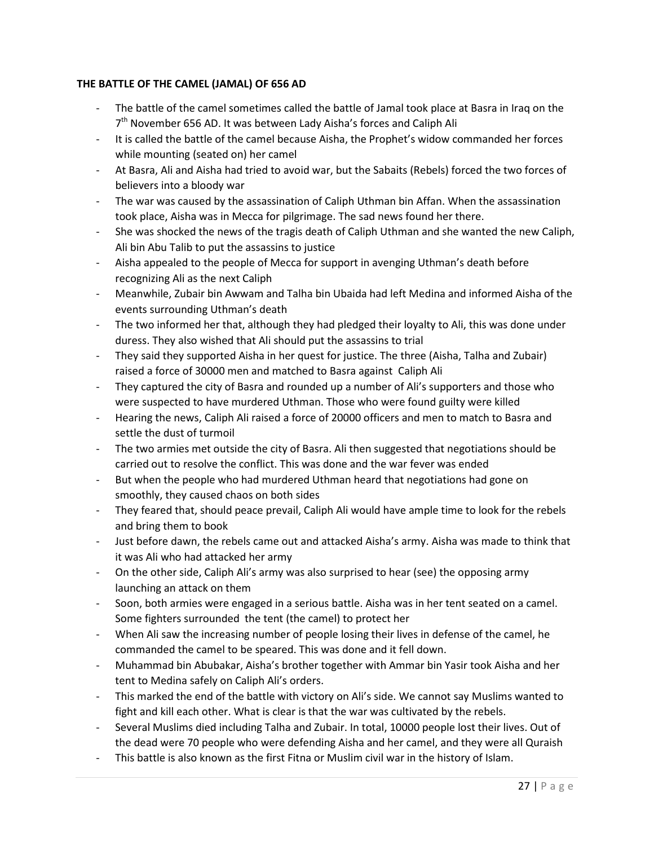# **THE BATTLE OF THE CAMEL (JAMAL) OF 656 AD**

- The battle of the camel sometimes called the battle of Jamal took place at Basra in Iraq on the 7<sup>th</sup> November 656 AD. It was between Lady Aisha's forces and Caliph Ali
- It is called the battle of the camel because Aisha, the Prophet's widow commanded her forces while mounting (seated on) her camel
- At Basra, Ali and Aisha had tried to avoid war, but the Sabaits (Rebels) forced the two forces of believers into a bloody war
- The war was caused by the assassination of Caliph Uthman bin Affan. When the assassination took place, Aisha was in Mecca for pilgrimage. The sad news found her there.
- She was shocked the news of the tragis death of Caliph Uthman and she wanted the new Caliph, Ali bin Abu Talib to put the assassins to justice
- Aisha appealed to the people of Mecca for support in avenging Uthman's death before recognizing Ali as the next Caliph
- Meanwhile, Zubair bin Awwam and Talha bin Ubaida had left Medina and informed Aisha of the events surrounding Uthman's death
- The two informed her that, although they had pledged their loyalty to Ali, this was done under duress. They also wished that Ali should put the assassins to trial
- They said they supported Aisha in her quest for justice. The three (Aisha, Talha and Zubair) raised a force of 30000 men and matched to Basra against Caliph Ali
- They captured the city of Basra and rounded up a number of Ali's supporters and those who were suspected to have murdered Uthman. Those who were found guilty were killed
- Hearing the news, Caliph Ali raised a force of 20000 officers and men to match to Basra and settle the dust of turmoil
- The two armies met outside the city of Basra. Ali then suggested that negotiations should be carried out to resolve the conflict. This was done and the war fever was ended
- But when the people who had murdered Uthman heard that negotiations had gone on smoothly, they caused chaos on both sides
- They feared that, should peace prevail, Caliph Ali would have ample time to look for the rebels and bring them to book
- Just before dawn, the rebels came out and attacked Aisha's army. Aisha was made to think that it was Ali who had attacked her army
- On the other side, Caliph Ali's army was also surprised to hear (see) the opposing army launching an attack on them
- Soon, both armies were engaged in a serious battle. Aisha was in her tent seated on a camel. Some fighters surrounded the tent (the camel) to protect her
- When Ali saw the increasing number of people losing their lives in defense of the camel, he commanded the camel to be speared. This was done and it fell down.
- Muhammad bin Abubakar, Aisha's brother together with Ammar bin Yasir took Aisha and her tent to Medina safely on Caliph Ali's orders.
- This marked the end of the battle with victory on Ali's side. We cannot say Muslims wanted to fight and kill each other. What is clear is that the war was cultivated by the rebels.
- Several Muslims died including Talha and Zubair. In total, 10000 people lost their lives. Out of the dead were 70 people who were defending Aisha and her camel, and they were all Quraish
- This battle is also known as the first Fitna or Muslim civil war in the history of Islam.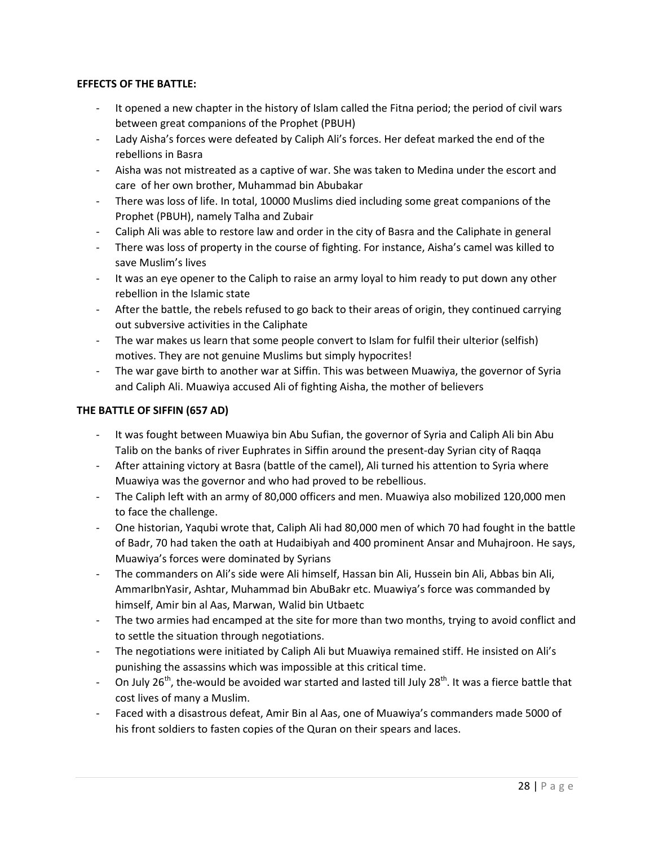#### **EFFECTS OF THE BATTLE:**

- It opened a new chapter in the history of Islam called the Fitna period; the period of civil wars between great companions of the Prophet (PBUH)
- Lady Aisha's forces were defeated by Caliph Ali's forces. Her defeat marked the end of the rebellions in Basra
- Aisha was not mistreated as a captive of war. She was taken to Medina under the escort and care of her own brother, Muhammad bin Abubakar
- There was loss of life. In total, 10000 Muslims died including some great companions of the Prophet (PBUH), namely Talha and Zubair
- Caliph Ali was able to restore law and order in the city of Basra and the Caliphate in general
- There was loss of property in the course of fighting. For instance, Aisha's camel was killed to save Muslim's lives
- It was an eye opener to the Caliph to raise an army loyal to him ready to put down any other rebellion in the Islamic state
- After the battle, the rebels refused to go back to their areas of origin, they continued carrying out subversive activities in the Caliphate
- The war makes us learn that some people convert to Islam for fulfil their ulterior (selfish) motives. They are not genuine Muslims but simply hypocrites!
- The war gave birth to another war at Siffin. This was between Muawiya, the governor of Syria and Caliph Ali. Muawiya accused Ali of fighting Aisha, the mother of believers

# **THE BATTLE OF SIFFIN (657 AD)**

- It was fought between Muawiya bin Abu Sufian, the governor of Syria and Caliph Ali bin Abu Talib on the banks of river Euphrates in Siffin around the present-day Syrian city of Raqqa
- After attaining victory at Basra (battle of the camel), Ali turned his attention to Syria where Muawiya was the governor and who had proved to be rebellious.
- The Caliph left with an army of 80,000 officers and men. Muawiya also mobilized 120,000 men to face the challenge.
- One historian, Yaqubi wrote that, Caliph Ali had 80,000 men of which 70 had fought in the battle of Badr, 70 had taken the oath at Hudaibiyah and 400 prominent Ansar and Muhajroon. He says, Muawiya's forces were dominated by Syrians
- The commanders on Ali's side were Ali himself, Hassan bin Ali, Hussein bin Ali, Abbas bin Ali, AmmarIbnYasir, Ashtar, Muhammad bin AbuBakr etc. Muawiya's force was commanded by himself, Amir bin al Aas, Marwan, Walid bin Utbaetc
- The two armies had encamped at the site for more than two months, trying to avoid conflict and to settle the situation through negotiations.
- The negotiations were initiated by Caliph Ali but Muawiya remained stiff. He insisted on Ali's punishing the assassins which was impossible at this critical time.
- On July 26<sup>th</sup>, the-would be avoided war started and lasted till July 28<sup>th</sup>. It was a fierce battle that cost lives of many a Muslim.
- Faced with a disastrous defeat, Amir Bin al Aas, one of Muawiya's commanders made 5000 of his front soldiers to fasten copies of the Quran on their spears and laces.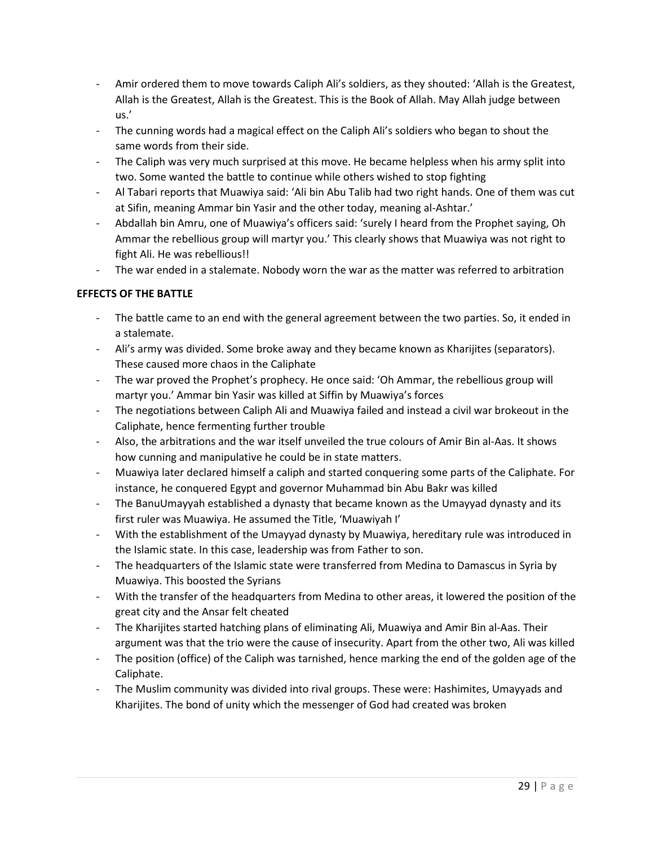- Amir ordered them to move towards Caliph Ali's soldiers, as they shouted: 'Allah is the Greatest, Allah is the Greatest, Allah is the Greatest. This is the Book of Allah. May Allah judge between us.'
- The cunning words had a magical effect on the Caliph Ali's soldiers who began to shout the same words from their side.
- The Caliph was very much surprised at this move. He became helpless when his army split into two. Some wanted the battle to continue while others wished to stop fighting
- Al Tabari reports that Muawiya said: 'Ali bin Abu Talib had two right hands. One of them was cut at Sifin, meaning Ammar bin Yasir and the other today, meaning al-Ashtar.'
- Abdallah bin Amru, one of Muawiya's officers said: 'surely I heard from the Prophet saying, Oh Ammar the rebellious group will martyr you.' This clearly shows that Muawiya was not right to fight Ali. He was rebellious!!
- The war ended in a stalemate. Nobody worn the war as the matter was referred to arbitration

# **EFFECTS OF THE BATTLE**

- The battle came to an end with the general agreement between the two parties. So, it ended in a stalemate.
- Ali's army was divided. Some broke away and they became known as Kharijites (separators). These caused more chaos in the Caliphate
- The war proved the Prophet's prophecy. He once said: 'Oh Ammar, the rebellious group will martyr you.' Ammar bin Yasir was killed at Siffin by Muawiya's forces
- The negotiations between Caliph Ali and Muawiya failed and instead a civil war brokeout in the Caliphate, hence fermenting further trouble
- Also, the arbitrations and the war itself unveiled the true colours of Amir Bin al-Aas. It shows how cunning and manipulative he could be in state matters.
- Muawiya later declared himself a caliph and started conquering some parts of the Caliphate. For instance, he conquered Egypt and governor Muhammad bin Abu Bakr was killed
- The BanuUmayyah established a dynasty that became known as the Umayyad dynasty and its first ruler was Muawiya. He assumed the Title, 'Muawiyah I'
- With the establishment of the Umayyad dynasty by Muawiya, hereditary rule was introduced in the Islamic state. In this case, leadership was from Father to son.
- The headquarters of the Islamic state were transferred from Medina to Damascus in Syria by Muawiya. This boosted the Syrians
- With the transfer of the headquarters from Medina to other areas, it lowered the position of the great city and the Ansar felt cheated
- The Kharijites started hatching plans of eliminating Ali, Muawiya and Amir Bin al-Aas. Their argument was that the trio were the cause of insecurity. Apart from the other two, Ali was killed
- The position (office) of the Caliph was tarnished, hence marking the end of the golden age of the Caliphate.
- The Muslim community was divided into rival groups. These were: Hashimites, Umayyads and Kharijites. The bond of unity which the messenger of God had created was broken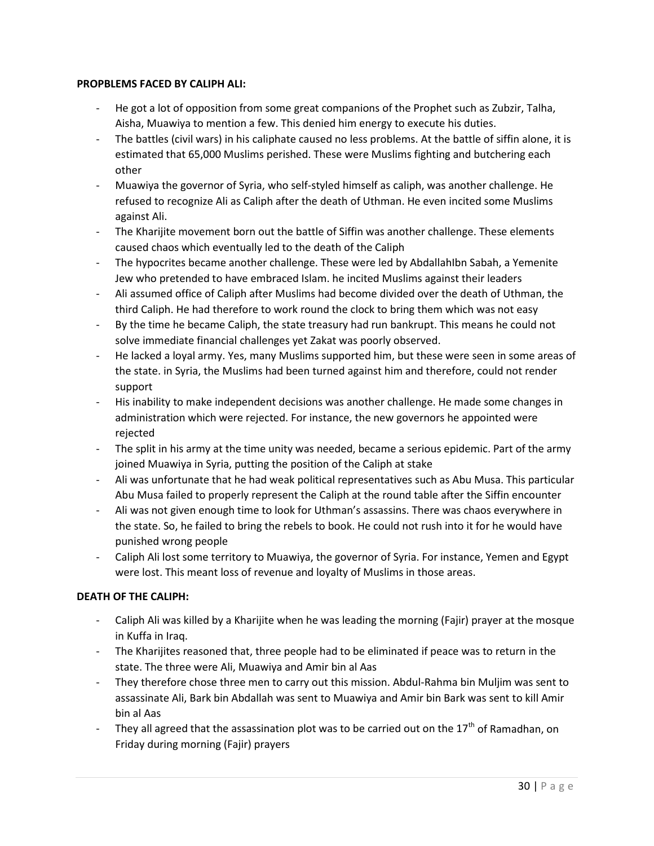#### **PROPBLEMS FACED BY CALIPH ALI:**

- He got a lot of opposition from some great companions of the Prophet such as Zubzir, Talha, Aisha, Muawiya to mention a few. This denied him energy to execute his duties.
- The battles (civil wars) in his caliphate caused no less problems. At the battle of siffin alone, it is estimated that 65,000 Muslims perished. These were Muslims fighting and butchering each other
- Muawiya the governor of Syria, who self-styled himself as caliph, was another challenge. He refused to recognize Ali as Caliph after the death of Uthman. He even incited some Muslims against Ali.
- The Kharijite movement born out the battle of Siffin was another challenge. These elements caused chaos which eventually led to the death of the Caliph
- The hypocrites became another challenge. These were led by AbdallahIbn Sabah, a Yemenite Jew who pretended to have embraced Islam. he incited Muslims against their leaders
- Ali assumed office of Caliph after Muslims had become divided over the death of Uthman, the third Caliph. He had therefore to work round the clock to bring them which was not easy
- By the time he became Caliph, the state treasury had run bankrupt. This means he could not solve immediate financial challenges yet Zakat was poorly observed.
- He lacked a loyal army. Yes, many Muslims supported him, but these were seen in some areas of the state. in Syria, the Muslims had been turned against him and therefore, could not render support
- His inability to make independent decisions was another challenge. He made some changes in administration which were rejected. For instance, the new governors he appointed were rejected
- The split in his army at the time unity was needed, became a serious epidemic. Part of the army joined Muawiya in Syria, putting the position of the Caliph at stake
- Ali was unfortunate that he had weak political representatives such as Abu Musa. This particular Abu Musa failed to properly represent the Caliph at the round table after the Siffin encounter
- Ali was not given enough time to look for Uthman's assassins. There was chaos everywhere in the state. So, he failed to bring the rebels to book. He could not rush into it for he would have punished wrong people
- Caliph Ali lost some territory to Muawiya, the governor of Syria. For instance, Yemen and Egypt were lost. This meant loss of revenue and loyalty of Muslims in those areas.

# **DEATH OF THE CALIPH:**

- Caliph Ali was killed by a Kharijite when he was leading the morning (Fajir) prayer at the mosque in Kuffa in Iraq.
- The Kharijites reasoned that, three people had to be eliminated if peace was to return in the state. The three were Ali, Muawiya and Amir bin al Aas
- They therefore chose three men to carry out this mission. Abdul-Rahma bin Muljim was sent to assassinate Ali, Bark bin Abdallah was sent to Muawiya and Amir bin Bark was sent to kill Amir bin al Aas
- They all agreed that the assassination plot was to be carried out on the  $17<sup>th</sup>$  of Ramadhan, on Friday during morning (Fajir) prayers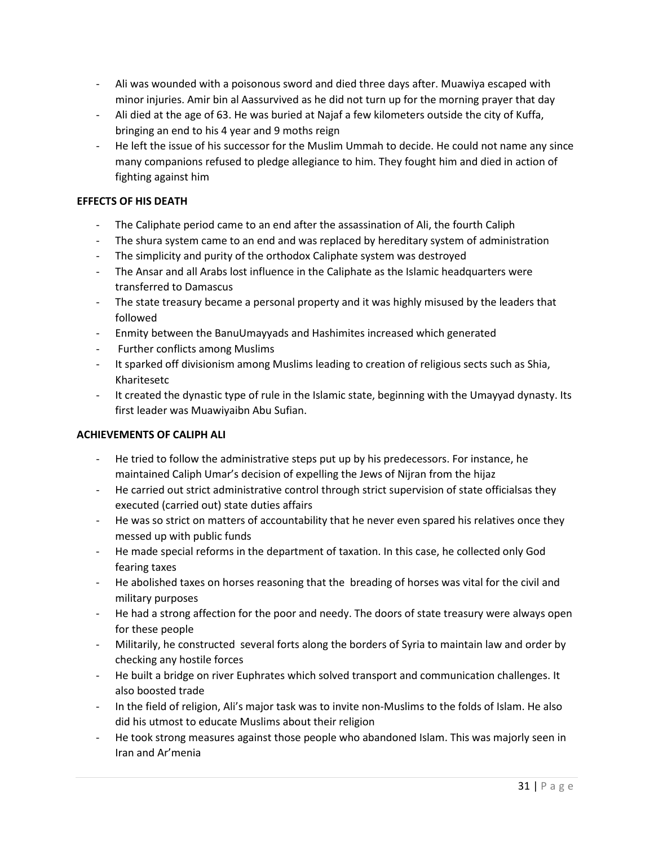- Ali was wounded with a poisonous sword and died three days after. Muawiya escaped with minor injuries. Amir bin al Aassurvived as he did not turn up for the morning prayer that day
- Ali died at the age of 63. He was buried at Najaf a few kilometers outside the city of Kuffa, bringing an end to his 4 year and 9 moths reign
- He left the issue of his successor for the Muslim Ummah to decide. He could not name any since many companions refused to pledge allegiance to him. They fought him and died in action of fighting against him

#### **EFFECTS OF HIS DEATH**

- The Caliphate period came to an end after the assassination of Ali, the fourth Caliph
- The shura system came to an end and was replaced by hereditary system of administration
- The simplicity and purity of the orthodox Caliphate system was destroyed
- The Ansar and all Arabs lost influence in the Caliphate as the Islamic headquarters were transferred to Damascus
- The state treasury became a personal property and it was highly misused by the leaders that followed
- Enmity between the BanuUmayyads and Hashimites increased which generated
- Further conflicts among Muslims
- It sparked off divisionism among Muslims leading to creation of religious sects such as Shia, Kharitesetc
- It created the dynastic type of rule in the Islamic state, beginning with the Umayyad dynasty. Its first leader was Muawiyaibn Abu Sufian.

#### **ACHIEVEMENTS OF CALIPH ALI**

- He tried to follow the administrative steps put up by his predecessors. For instance, he maintained Caliph Umar's decision of expelling the Jews of Nijran from the hijaz
- He carried out strict administrative control through strict supervision of state officialsas they executed (carried out) state duties affairs
- He was so strict on matters of accountability that he never even spared his relatives once they messed up with public funds
- He made special reforms in the department of taxation. In this case, he collected only God fearing taxes
- He abolished taxes on horses reasoning that the breading of horses was vital for the civil and military purposes
- He had a strong affection for the poor and needy. The doors of state treasury were always open for these people
- Militarily, he constructed several forts along the borders of Syria to maintain law and order by checking any hostile forces
- He built a bridge on river Euphrates which solved transport and communication challenges. It also boosted trade
- In the field of religion, Ali's major task was to invite non-Muslims to the folds of Islam. He also did his utmost to educate Muslims about their religion
- He took strong measures against those people who abandoned Islam. This was majorly seen in Iran and Ar'menia